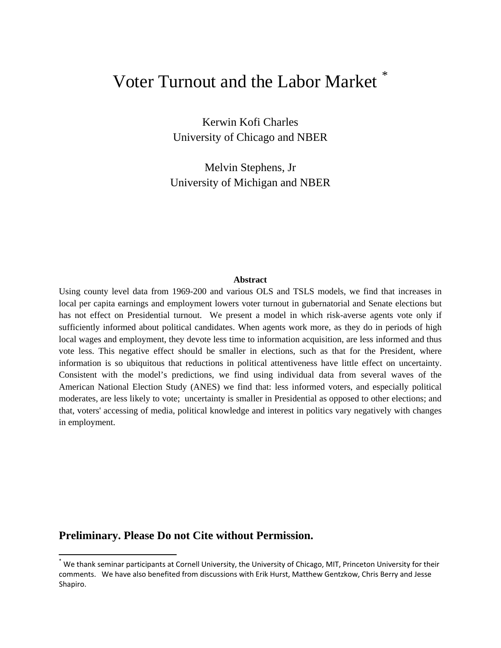# Voter Turnout and the Labor Market

Kerwin Kofi Charles University of Chicago and NBER

Melvin Stephens, Jr University of Michigan and NBER

#### **Abstract**

Using county level data from 1969-200 and various OLS and TSLS models, we find that increases in local per capita earnings and employment lowers voter turnout in gubernatorial and Senate elections but has not effect on Presidential turnout. We present a model in which risk-averse agents vote only if sufficiently informed about political candidates. When agents work more, as they do in periods of high local wages and employment, they devote less time to information acquisition, are less informed and thus vote less. This negative effect should be smaller in elections, such as that for the President, where information is so ubiquitous that reductions in political attentiveness have little effect on uncertainty. Consistent with the model's predictions, we find using individual data from several waves of the American National Election Study (ANES) we find that: less informed voters, and especially political moderates, are less likely to vote; uncertainty is smaller in Presidential as opposed to other elections; and that, voters' accessing of media, political knowledge and interest in politics vary negatively with changes in employment.

## **Preliminary. Please Do not Cite without Permission.**

<span id="page-0-0"></span><sup>\*</sup> We thank seminar participants at Cornell University, the University of Chicago, MIT, Princeton University for their comments. We have also benefited from discussions with Erik Hurst, Matthew Gentzkow, Chris Berry and Jesse Shapiro.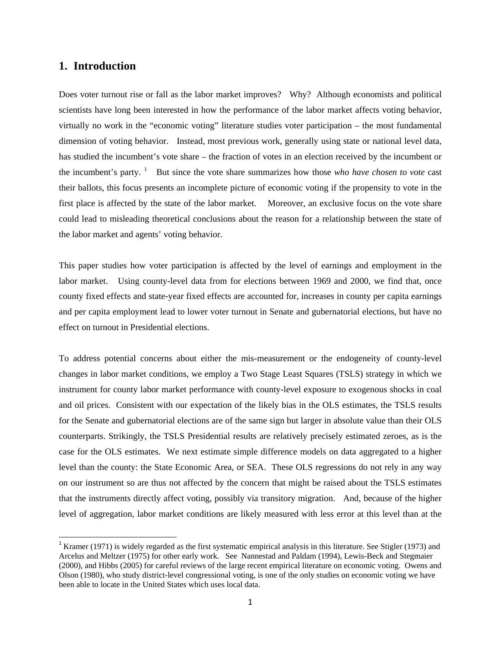## **1. Introduction**

Does voter turnout rise or fall as the labor market improves? Why? Although economists and political scientists have long been interested in how the performance of the labor market affects voting behavior, virtually no work in the "economic voting" literature studies voter participation – the most fundamental dimension of voting behavior. Instead, most previous work, generally using state or national level data, has studied the incumbent's vote share – the fraction of votes in an election received by the incumbent or the incumbent's party.<sup>[1](#page-1-0)</sup> But since the vote share summarizes how those *who have chosen to vote* cast their ballots, this focus presents an incomplete picture of economic voting if the propensity to vote in the first place is affected by the state of the labor market. Moreover, an exclusive focus on the vote share could lead to misleading theoretical conclusions about the reason for a relationship between the state of the labor market and agents' voting behavior.

This paper studies how voter participation is affected by the level of earnings and employment in the labor market. Using county-level data from for elections between 1969 and 2000, we find that, once county fixed effects and state-year fixed effects are accounted for, increases in county per capita earnings and per capita employment lead to lower voter turnout in Senate and gubernatorial elections, but have no effect on turnout in Presidential elections.

To address potential concerns about either the mis-measurement or the endogeneity of county-level changes in labor market conditions, we employ a Two Stage Least Squares (TSLS) strategy in which we instrument for county labor market performance with county-level exposure to exogenous shocks in coal and oil prices. Consistent with our expectation of the likely bias in the OLS estimates, the TSLS results for the Senate and gubernatorial elections are of the same sign but larger in absolute value than their OLS counterparts. Strikingly, the TSLS Presidential results are relatively precisely estimated zeroes, as is the case for the OLS estimates. We next estimate simple difference models on data aggregated to a higher level than the county: the State Economic Area, or SEA. These OLS regressions do not rely in any way on our instrument so are thus not affected by the concern that might be raised about the TSLS estimates that the instruments directly affect voting, possibly via transitory migration. And, because of the higher level of aggregation, labor market conditions are likely measured with less error at this level than at the

<span id="page-1-0"></span> $1$  Kramer (1971) is widely regarded as the first systematic empirical analysis in this literature. See Stigler (1973) and Arcelus and Meltzer (1975) for other early work. See Nannestad and Paldam (1994), Lewis-Beck and Stegmaier (2000), and Hibbs (2005) for careful reviews of the large recent empirical literature on economic voting. Owens and Olson (1980), who study district-level congressional voting, is one of the only studies on economic voting we have been able to locate in the United States which uses local data.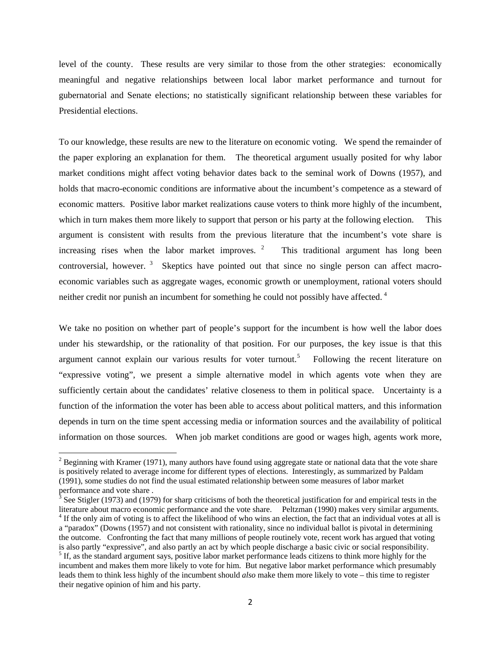level of the county. These results are very similar to those from the other strategies: economically meaningful and negative relationships between local labor market performance and turnout for gubernatorial and Senate elections; no statistically significant relationship between these variables for Presidential elections.

To our knowledge, these results are new to the literature on economic voting. We spend the remainder of the paper exploring an explanation for them. The theoretical argument usually posited for why labor market conditions might affect voting behavior dates back to the seminal work of Downs (1957), and holds that macro-economic conditions are informative about the incumbent's competence as a steward of economic matters. Positive labor market realizations cause voters to think more highly of the incumbent, which in turn makes them more likely to support that person or his party at the following election. This argument is consistent with results from the previous literature that the incumbent's vote share is increasing rises when the labor market improves.  $2$  This traditional argument has long been controversial, however.<sup>[3](#page-2-1)</sup> Skeptics have pointed out that since no single person can affect macroeconomic variables such as aggregate wages, economic growth or unemployment, rational voters should neither credit nor punish an incumbent for something he could not possibly have affected.<sup>[4](#page-2-2)</sup>

We take no position on whether part of people's support for the incumbent is how well the labor does under his stewardship, or the rationality of that position. For our purposes, the key issue is that this argument cannot explain our various results for voter turnout.<sup>[5](#page-2-3)</sup> Following the recent literature on "expressive voting", we present a simple alternative model in which agents vote when they are sufficiently certain about the candidates' relative closeness to them in political space. Uncertainty is a function of the information the voter has been able to access about political matters, and this information depends in turn on the time spent accessing media or information sources and the availability of political information on those sources. When job market conditions are good or wages high, agents work more,

<span id="page-2-0"></span> $2^{2}$  Beginning with Kramer (1971), many authors have found using aggregate state or national data that the vote share is positively related to average income for different types of elections. Interestingly, as summarized by Paldam (1991), some studies do not find the usual estimated relationship between some measures of labor market performance and vote share.<br> $\frac{3}{2}$  See Stigler (1073) and (1079)

<span id="page-2-3"></span><span id="page-2-2"></span><span id="page-2-1"></span>See Stigler (1973) and (1979) for sharp criticisms of both the theoretical justification for and empirical tests in the literature about macro economic performance and the vote share. Peltzman (1990) makes very similar arguments. <sup>4</sup> If the only aim of voting is to affect the likelihood of who wins an election, the fact that an individual votes at all is a "paradox" (Downs (1957) and not consistent with rationality, since no individual ballot is pivotal in determining the outcome. Confronting the fact that many millions of people routinely vote, recent work has argued that voting is also partly "expressive", and also partly an act by which people discharge a basic civic or social responsibility.  $<sup>5</sup>$  If, as the standard argument says, positive labor market performance leads citizens to think more highly for the</sup> incumbent and makes them more likely to vote for him. But negative labor market performance which presumably leads them to think less highly of the incumbent should *also* make them more likely to vote – this time to register their negative opinion of him and his party.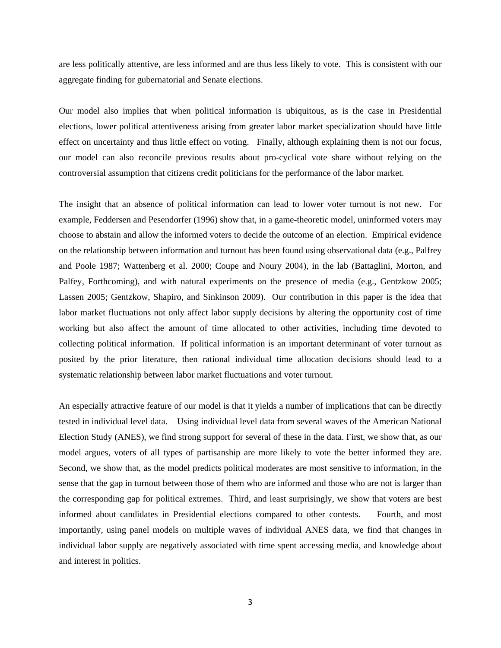are less politically attentive, are less informed and are thus less likely to vote. This is consistent with our aggregate finding for gubernatorial and Senate elections.

Our model also implies that when political information is ubiquitous, as is the case in Presidential elections, lower political attentiveness arising from greater labor market specialization should have little effect on uncertainty and thus little effect on voting. Finally, although explaining them is not our focus, our model can also reconcile previous results about pro-cyclical vote share without relying on the controversial assumption that citizens credit politicians for the performance of the labor market.

The insight that an absence of political information can lead to lower voter turnout is not new. For example, Feddersen and Pesendorfer (1996) show that, in a game-theoretic model, uninformed voters may choose to abstain and allow the informed voters to decide the outcome of an election. Empirical evidence on the relationship between information and turnout has been found using observational data (e.g., Palfrey and Poole 1987; Wattenberg et al. 2000; Coupe and Noury 2004), in the lab (Battaglini, Morton, and Palfey, Forthcoming), and with natural experiments on the presence of media (e.g., Gentzkow 2005; Lassen 2005; Gentzkow, Shapiro, and Sinkinson 2009). Our contribution in this paper is the idea that labor market fluctuations not only affect labor supply decisions by altering the opportunity cost of time working but also affect the amount of time allocated to other activities, including time devoted to collecting political information. If political information is an important determinant of voter turnout as posited by the prior literature, then rational individual time allocation decisions should lead to a systematic relationship between labor market fluctuations and voter turnout.

An especially attractive feature of our model is that it yields a number of implications that can be directly tested in individual level data. Using individual level data from several waves of the American National Election Study (ANES), we find strong support for several of these in the data. First, we show that, as our model argues, voters of all types of partisanship are more likely to vote the better informed they are. Second, we show that, as the model predicts political moderates are most sensitive to information, in the sense that the gap in turnout between those of them who are informed and those who are not is larger than the corresponding gap for political extremes. Third, and least surprisingly, we show that voters are best informed about candidates in Presidential elections compared to other contests. Fourth, and most importantly, using panel models on multiple waves of individual ANES data, we find that changes in individual labor supply are negatively associated with time spent accessing media, and knowledge about and interest in politics.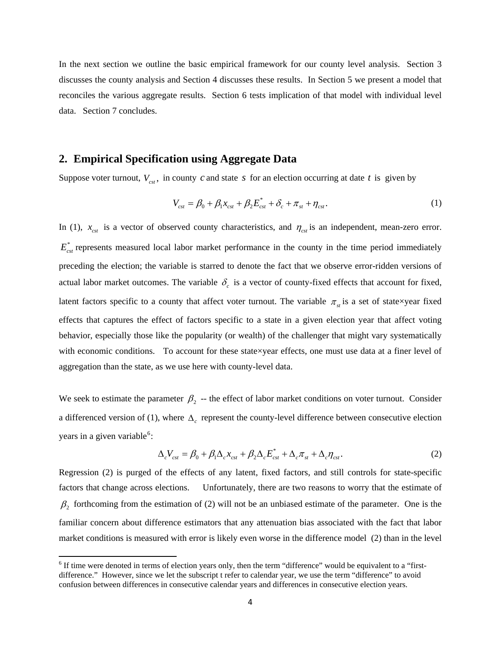In the next section we outline the basic empirical framework for our county level analysis. Section 3 discusses the county analysis and Section 4 discusses these results. In Section 5 we present a model that reconciles the various aggregate results. Section 6 tests implication of that model with individual level data. Section 7 concludes.

### **2. Empirical Specification using Aggregate Data**

<span id="page-4-0"></span>Suppose voter turnout,  $V_{\text{cst}}$ , in county *c* and state *s* for an election occurring at date *t* is given by

$$
V_{\rm cst} = \beta_0 + \beta_1 x_{\rm cst} + \beta_2 E_{\rm cst}^* + \delta_c + \pi_{\rm st} + \eta_{\rm cst}.
$$
 (1)

In [\(1\)](#page-4-0),  $x_{\text{cst}}$  is a vector of observed county characteristics, and  $\eta_{\text{cst}}$  is an independent, mean-zero error.  $E_{\text{cst}}^*$  represents measured local labor market performance in the county in the time period immediately preceding the election; the variable is starred to denote the fact that we observe error-ridden versions of actual labor market outcomes. The variable  $\delta_c$  is a vector of county-fixed effects that account for fixed, latent factors specific to a county that affect voter turnout. The variable  $\pi_{st}$  is a set of state×year fixed effects that captures the effect of factors specific to a state in a given election year that affect voting behavior, especially those like the popularity (or wealth) of the challenger that might vary systematically with economic conditions. To account for these state×year effects, one must use data at a finer level of aggregation than the state, as we use here with county-level data.

We seek to estimate the parameter  $\beta_2$  -- the effect of labor market conditions on voter turnout. Consider a differenced version of [\(1\),](#page-4-0) where  $\Delta_c$  represent the county-level difference between consecutive election years in a given variable<sup>[6](#page-4-1)</sup>:

$$
\Delta_c V_{\rm cst} = \beta_0 + \beta_1 \Delta_c x_{\rm cst} + \beta_2 \Delta_c E_{\rm cst}^* + \Delta_c \pi_{\rm st} + \Delta_c \eta_{\rm cst}.
$$
\n(2)

<span id="page-4-2"></span>Regression [\(2\)](#page-4-2) is purged of the effects of any latent, fixed factors, and still controls for state-specific factors that change across elections. Unfortunately, there are two reasons to worry that the estimate of  $\beta_2$  forthcoming from the estimation of [\(2\)](#page-4-2) will not be an unbiased estimate of the parameter. One is the familiar concern about difference estimators that any attenuation bias associated with the fact that labor market conditions is measured with error is likely even worse in the difference model [\(2\)](#page-4-2) than in the level

<span id="page-4-1"></span><sup>&</sup>lt;sup>6</sup> If time were denoted in terms of election years only, then the term "difference" would be equivalent to a "firstdifference." However, since we let the subscript t refer to calendar year, we use the term "difference" to avoid confusion between differences in consecutive calendar years and differences in consecutive election years.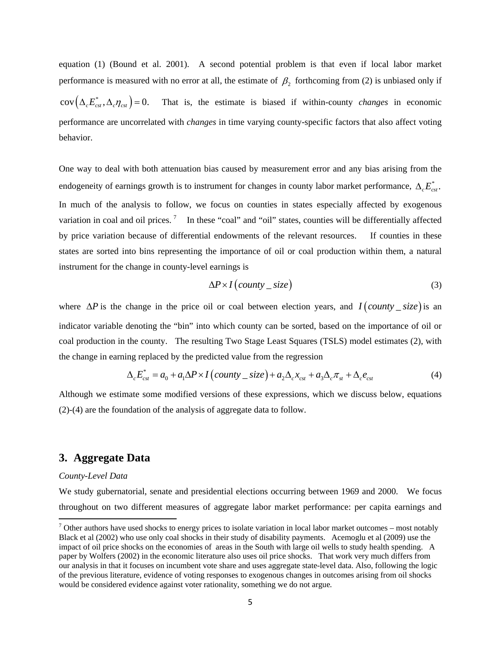equation [\(1\)](#page-4-0) (Bound et al. 2001). A second potential problem is that even if local labor market performance is measured with no error at all, the estimate of  $\beta$ , forthcoming from [\(2\)](#page-4-2) is unbiased only if  $\text{cov}(\Delta_c E_{\text{cst}}^*, \Delta_c \eta_{\text{cst}}) = 0$ . That is, the estimate is biased if within-county *changes* in economic performance are uncorrelated with *changes* in time varying county-specific factors that also affect voting behavior.

One way to deal with both attenuation bias caused by measurement error and any bias arising from the endogeneity of earnings growth is to instrument for changes in county labor market performance,  $\Delta_{c} E_{\text{cst}}^{*}$ . In much of the analysis to follow, we focus on counties in states especially affected by exogenous variation in coal and oil prices.<sup>[7](#page-5-0)</sup> In these "coal" and "oil" states, counties will be differentially affected by price variation because of differential endowments of the relevant resources. If counties in these states are sorted into bins representing the importance of oil or coal production within them, a natural instrument for the change in county-level earnings is

$$
\Delta P \times I\left( \text{county} - \text{size} \right) \tag{3}
$$

where  $\Delta P$  is the change in the price oil or coal between election years, and  $I$  (*county \_ size*) is an indicator variable denoting the "bin" into which county can be sorted, based on the importance of oil or coal production in the county. The resulting Two Stage Least Squares (TSLS) model estimates [\(2\),](#page-4-2) with the change in earning replaced by the predicted value from the regression

$$
\Delta_c E_{\text{cst}}^* = a_0 + a_1 \Delta P \times I \left(\text{county} - \text{size}\right) + a_2 \Delta_c x_{\text{cst}} + a_3 \Delta_c \pi_{\text{st}} + \Delta_c e_{\text{cst}} \tag{4}
$$

<span id="page-5-1"></span>Although we estimate some modified versions of these expressions, which we discuss below, equations [\(2\)](#page-4-2)[-\(4\)](#page-5-1) are the foundation of the analysis of aggregate data to follow.

## **3. Aggregate Data**

#### *County-Level Data*

We study gubernatorial, senate and presidential elections occurring between 1969 and 2000. We focus throughout on two different measures of aggregate labor market performance: per capita earnings and

<span id="page-5-0"></span> $<sup>7</sup>$  Other authors have used shocks to energy prices to isolate variation in local labor market outcomes – most notably</sup> Black et al (2002) who use only coal shocks in their study of disability payments. Acemoglu et al (2009) use the impact of oil price shocks on the economies of areas in the South with large oil wells to study health spending. A paper by Wolfers (2002) in the economic literature also uses oil price shocks. That work very much differs from our analysis in that it focuses on incumbent vote share and uses aggregate state-level data. Also, following the logic of the previous literature, evidence of voting responses to exogenous changes in outcomes arising from oil shocks would be considered evidence against voter rationality, something we do not argue*.*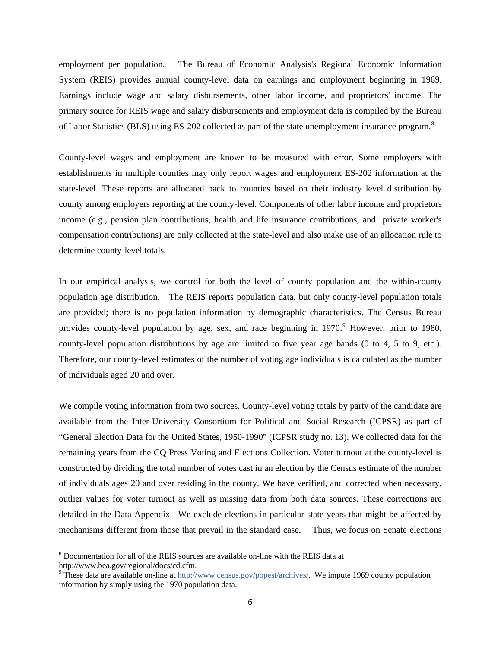employment per population. The Bureau of Economic Analysis's Regional Economic Information System (REIS) provides annual county-level data on earnings and employment beginning in 1969. Earnings include wage and salary disbursements, other labor income, and proprietors' income. The primary source for REIS wage and salary disbursements and employment data is compiled by the Bureau of Labor Statistics (BLS) using ES-202 collected as part of the state unemployment insurance program.<sup>[8](#page-6-0)</sup>

County-level wages and employment are known to be measured with error. Some employers with establishments in multiple counties may only report wages and employment ES-202 information at the state-level. These reports are allocated back to counties based on their industry level distribution by county among employers reporting at the county-level. Components of other labor income and proprietors income (e.g., pension plan contributions, health and life insurance contributions, and private worker's compensation contributions) are only collected at the state-level and also make use of an allocation rule to determine county-level totals.

In our empirical analysis, we control for both the level of county population and the within-county population age distribution. The REIS reports population data, but only county-level population totals are provided; there is no population information by demographic characteristics. The Census Bureau provides county-level population by age, sex, and race beginning in 1[9](#page-6-1)70.<sup>9</sup> However, prior to 1980, county-level population distributions by age are limited to five year age bands (0 to 4, 5 to 9, etc.). Therefore, our county-level estimates of the number of voting age individuals is calculated as the number of individuals aged 20 and over.

We compile voting information from two sources. County-level voting totals by party of the candidate are available from the Inter-University Consortium for Political and Social Research (ICPSR) as part of "General Election Data for the United States, 1950-1990" (ICPSR study no. 13). We collected data for the remaining years from the CQ Press Voting and Elections Collection. Voter turnout at the county-level is constructed by dividing the total number of votes cast in an election by the Census estimate of the number of individuals ages 20 and over residing in the county. We have verified, and corrected when necessary, outlier values for voter turnout as well as missing data from both data sources. These corrections are detailed in the Data Appendix. We exclude elections in particular state-years that might be affected by mechanisms different from those that prevail in the standard case. Thus, we focus on Senate elections

<span id="page-6-0"></span><sup>&</sup>lt;sup>8</sup> Documentation for all of the REIS sources are available on-line with the REIS data at http://www.bea.gov/regional/docs/cd.cfm.

<span id="page-6-1"></span><sup>&</sup>lt;sup>9</sup> These data are available on-line at<http://www.census.gov/popest/archives/>. We impute 1969 county population information by simply using the 1970 population data.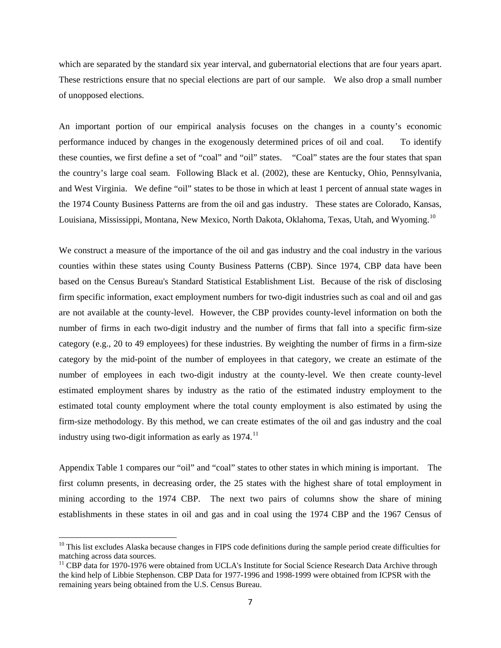which are separated by the standard six year interval, and gubernatorial elections that are four years apart. These restrictions ensure that no special elections are part of our sample. We also drop a small number of unopposed elections.

An important portion of our empirical analysis focuses on the changes in a county's economic performance induced by changes in the exogenously determined prices of oil and coal. To identify these counties, we first define a set of "coal" and "oil" states. "Coal" states are the four states that span the country's large coal seam. Following Black et al. (2002), these are Kentucky, Ohio, Pennsylvania, and West Virginia. We define "oil" states to be those in which at least 1 percent of annual state wages in the 1974 County Business Patterns are from the oil and gas industry. These states are Colorado, Kansas, Louisiana, Mississippi, Montana, New Mexico, North Dakota, Oklahoma, Texas, Utah, and Wyoming.<sup>[10](#page-7-0)</sup>

We construct a measure of the importance of the oil and gas industry and the coal industry in the various counties within these states using County Business Patterns (CBP). Since 1974, CBP data have been based on the Census Bureau's Standard Statistical Establishment List. Because of the risk of disclosing firm specific information, exact employment numbers for two-digit industries such as coal and oil and gas are not available at the county-level. However, the CBP provides county-level information on both the number of firms in each two-digit industry and the number of firms that fall into a specific firm-size category (e.g., 20 to 49 employees) for these industries. By weighting the number of firms in a firm-size category by the mid-point of the number of employees in that category, we create an estimate of the number of employees in each two-digit industry at the county-level. We then create county-level estimated employment shares by industry as the ratio of the estimated industry employment to the estimated total county employment where the total county employment is also estimated by using the firm-size methodology. By this method, we can create estimates of the oil and gas industry and the coal industry using two-digit information as early as  $1974$ .<sup>[11](#page-7-1)</sup>

Appendix Table 1 compares our "oil" and "coal" states to other states in which mining is important. The first column presents, in decreasing order, the 25 states with the highest share of total employment in mining according to the 1974 CBP. The next two pairs of columns show the share of mining establishments in these states in oil and gas and in coal using the 1974 CBP and the 1967 Census of

<span id="page-7-0"></span><sup>&</sup>lt;sup>10</sup> This list excludes Alaska because changes in FIPS code definitions during the sample period create difficulties for matching across data sources.

<span id="page-7-1"></span><sup>&</sup>lt;sup>11</sup> CBP data for 1970-1976 were obtained from UCLA's Institute for Social Science Research Data Archive through the kind help of Libbie Stephenson. CBP Data for 1977-1996 and 1998-1999 were obtained from ICPSR with the remaining years being obtained from the U.S. Census Bureau.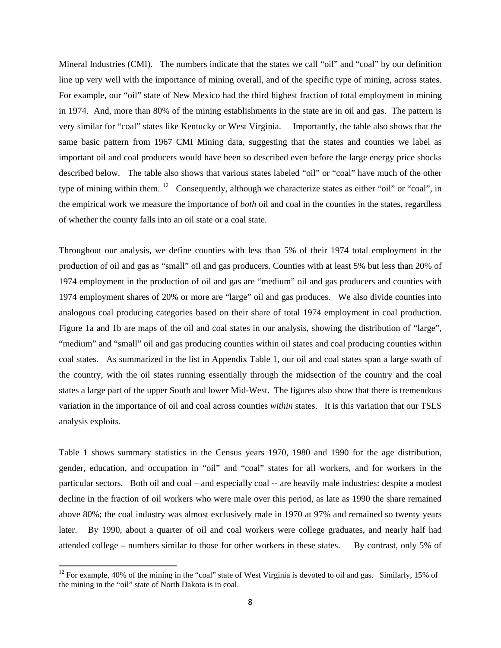Mineral Industries (CMI). The numbers indicate that the states we call "oil" and "coal" by our definition line up very well with the importance of mining overall, and of the specific type of mining, across states. For example, our "oil" state of New Mexico had the third highest fraction of total employment in mining in 1974. And, more than 80% of the mining establishments in the state are in oil and gas. The pattern is very similar for "coal" states like Kentucky or West Virginia. Importantly, the table also shows that the same basic pattern from 1967 CMI Mining data, suggesting that the states and counties we label as important oil and coal producers would have been so described even before the large energy price shocks described below. The table also shows that various states labeled "oil" or "coal" have much of the other type of mining within them. [12](#page-8-0) Consequently, although we characterize states as either "oil" or "coal", in the empirical work we measure the importance of *both* oil and coal in the counties in the states, regardless of whether the county falls into an oil state or a coal state.

Throughout our analysis, we define counties with less than 5% of their 1974 total employment in the production of oil and gas as "small" oil and gas producers. Counties with at least 5% but less than 20% of 1974 employment in the production of oil and gas are "medium" oil and gas producers and counties with 1974 employment shares of 20% or more are "large" oil and gas produces. We also divide counties into analogous coal producing categories based on their share of total 1974 employment in coal production. Figure 1a and 1b are maps of the oil and coal states in our analysis, showing the distribution of "large", "medium" and "small" oil and gas producing counties within oil states and coal producing counties within coal states. As summarized in the list in Appendix Table 1, our oil and coal states span a large swath of the country, with the oil states running essentially through the midsection of the country and the coal states a large part of the upper South and lower Mid-West. The figures also show that there is tremendous variation in the importance of oil and coal across counties *within* states. It is this variation that our TSLS analysis exploits.

Table 1 shows summary statistics in the Census years 1970, 1980 and 1990 for the age distribution, gender, education, and occupation in "oil" and "coal" states for all workers, and for workers in the particular sectors. Both oil and coal – and especially coal -- are heavily male industries: despite a modest decline in the fraction of oil workers who were male over this period, as late as 1990 the share remained above 80%; the coal industry was almost exclusively male in 1970 at 97% and remained so twenty years later. By 1990, about a quarter of oil and coal workers were college graduates, and nearly half had attended college – numbers similar to those for other workers in these states. By contrast, only 5% of

<span id="page-8-0"></span><sup>&</sup>lt;sup>12</sup> For example, 40% of the mining in the "coal" state of West Virginia is devoted to oil and gas. Similarly, 15% of the mining in the "oil" state of North Dakota is in coal.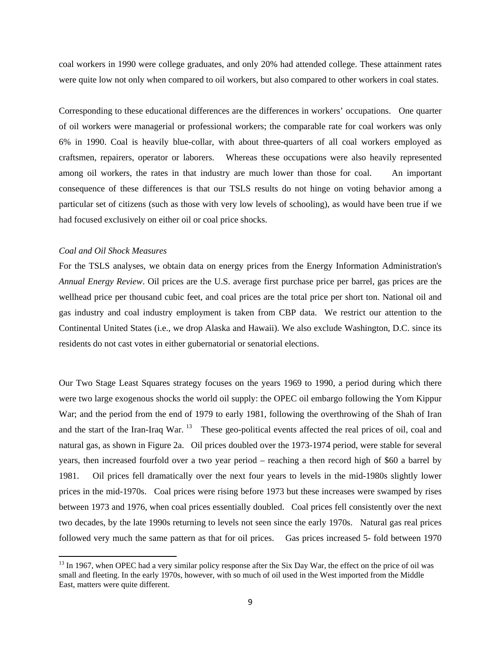coal workers in 1990 were college graduates, and only 20% had attended college. These attainment rates were quite low not only when compared to oil workers, but also compared to other workers in coal states.

Corresponding to these educational differences are the differences in workers' occupations. One quarter of oil workers were managerial or professional workers; the comparable rate for coal workers was only 6% in 1990. Coal is heavily blue-collar, with about three-quarters of all coal workers employed as craftsmen, repairers, operator or laborers. Whereas these occupations were also heavily represented among oil workers, the rates in that industry are much lower than those for coal. An important consequence of these differences is that our TSLS results do not hinge on voting behavior among a particular set of citizens (such as those with very low levels of schooling), as would have been true if we had focused exclusively on either oil or coal price shocks.

#### *Coal and Oil Shock Measures*

For the TSLS analyses, we obtain data on energy prices from the Energy Information Administration's *Annual Energy Review*. Oil prices are the U.S. average first purchase price per barrel, gas prices are the wellhead price per thousand cubic feet, and coal prices are the total price per short ton. National oil and gas industry and coal industry employment is taken from CBP data. We restrict our attention to the Continental United States (i.e., we drop Alaska and Hawaii). We also exclude Washington, D.C. since its residents do not cast votes in either gubernatorial or senatorial elections.

Our Two Stage Least Squares strategy focuses on the years 1969 to 1990, a period during which there were two large exogenous shocks the world oil supply: the OPEC oil embargo following the Yom Kippur War; and the period from the end of 1979 to early 1981, following the overthrowing of the Shah of Iran and the start of the Iran-Iraq War. <sup>[13](#page-9-0)</sup> These geo-political events affected the real prices of oil, coal and natural gas, as shown in Figure 2a. Oil prices doubled over the 1973-1974 period, were stable for several years, then increased fourfold over a two year period – reaching a then record high of \$60 a barrel by 1981. Oil prices fell dramatically over the next four years to levels in the mid-1980s slightly lower prices in the mid-1970s. Coal prices were rising before 1973 but these increases were swamped by rises between 1973 and 1976, when coal prices essentially doubled. Coal prices fell consistently over the next two decades, by the late 1990s returning to levels not seen since the early 1970s. Natural gas real prices followed very much the same pattern as that for oil prices. Gas prices increased 5- fold between 1970

<span id="page-9-0"></span><sup>&</sup>lt;sup>13</sup> In 1967, when OPEC had a very similar policy response after the Six Day War, the effect on the price of oil was small and fleeting. In the early 1970s, however, with so much of oil used in the West imported from the Middle East, matters were quite different.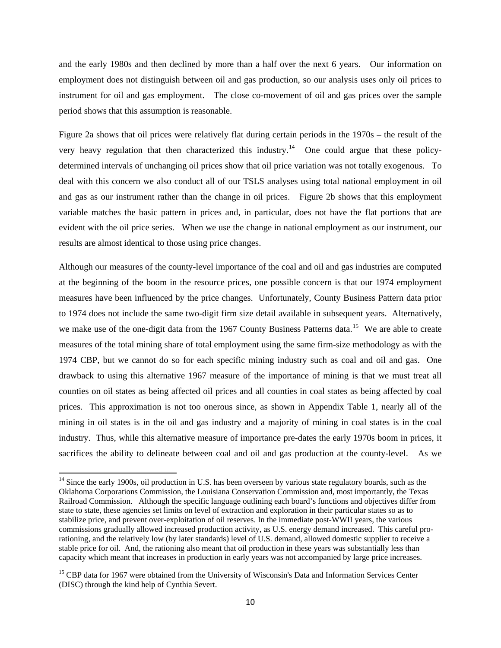and the early 1980s and then declined by more than a half over the next 6 years. Our information on employment does not distinguish between oil and gas production, so our analysis uses only oil prices to instrument for oil and gas employment. The close co-movement of oil and gas prices over the sample period shows that this assumption is reasonable.

Figure 2a shows that oil prices were relatively flat during certain periods in the 1970s – the result of the very heavy regulation that then characterized this industry.<sup>[14](#page-10-0)</sup> One could argue that these policydetermined intervals of unchanging oil prices show that oil price variation was not totally exogenous. To deal with this concern we also conduct all of our TSLS analyses using total national employment in oil and gas as our instrument rather than the change in oil prices. Figure 2b shows that this employment variable matches the basic pattern in prices and, in particular, does not have the flat portions that are evident with the oil price series. When we use the change in national employment as our instrument, our results are almost identical to those using price changes.

Although our measures of the county-level importance of the coal and oil and gas industries are computed at the beginning of the boom in the resource prices, one possible concern is that our 1974 employment measures have been influenced by the price changes. Unfortunately, County Business Pattern data prior to 1974 does not include the same two-digit firm size detail available in subsequent years. Alternatively, we make use of the one-digit data from the 1967 County Business Patterns data.<sup>[15](#page-10-1)</sup> We are able to create measures of the total mining share of total employment using the same firm-size methodology as with the 1974 CBP, but we cannot do so for each specific mining industry such as coal and oil and gas. One drawback to using this alternative 1967 measure of the importance of mining is that we must treat all counties on oil states as being affected oil prices and all counties in coal states as being affected by coal prices. This approximation is not too onerous since, as shown in Appendix Table 1, nearly all of the mining in oil states is in the oil and gas industry and a majority of mining in coal states is in the coal industry. Thus, while this alternative measure of importance pre-dates the early 1970s boom in prices, it sacrifices the ability to delineate between coal and oil and gas production at the county-level. As we

<span id="page-10-0"></span> $14$  Since the early 1900s, oil production in U.S. has been overseen by various state regulatory boards, such as the Oklahoma Corporations Commission, the Louisiana Conservation Commission and, most importantly, the Texas Railroad Commission. Although the specific language outlining each board's functions and objectives differ from state to state, these agencies set limits on level of extraction and exploration in their particular states so as to stabilize price, and prevent over-exploitation of oil reserves. In the immediate post-WWII years, the various commissions gradually allowed increased production activity, as U.S. energy demand increased. This careful prorationing, and the relatively low (by later standards) level of U.S. demand, allowed domestic supplier to receive a stable price for oil. And, the rationing also meant that oil production in these years was substantially less than capacity which meant that increases in production in early years was not accompanied by large price increases.

<span id="page-10-1"></span><sup>&</sup>lt;sup>15</sup> CBP data for 1967 were obtained from the University of Wisconsin's Data and Information Services Center (DISC) through the kind help of Cynthia Severt.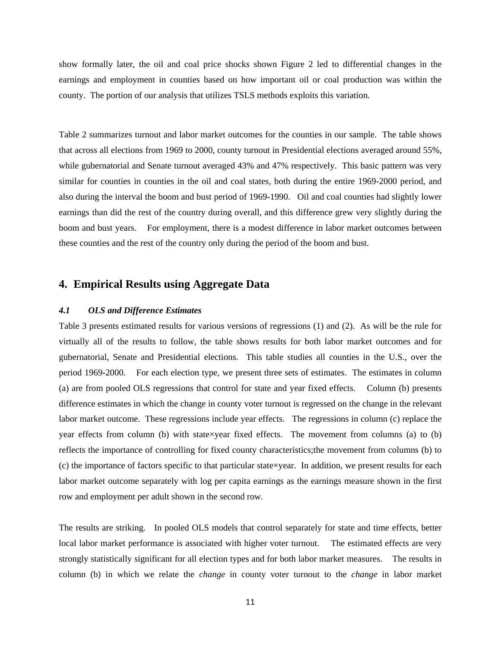show formally later, the oil and coal price shocks shown Figure 2 led to differential changes in the earnings and employment in counties based on how important oil or coal production was within the county. The portion of our analysis that utilizes TSLS methods exploits this variation.

Table 2 summarizes turnout and labor market outcomes for the counties in our sample. The table shows that across all elections from 1969 to 2000, county turnout in Presidential elections averaged around 55%, while gubernatorial and Senate turnout averaged 43% and 47% respectively. This basic pattern was very similar for counties in counties in the oil and coal states, both during the entire 1969-2000 period, and also during the interval the boom and bust period of 1969-1990. Oil and coal counties had slightly lower earnings than did the rest of the country during overall, and this difference grew very slightly during the boom and bust years. For employment, there is a modest difference in labor market outcomes between these counties and the rest of the country only during the period of the boom and bust.

## **4. Empirical Results using Aggregate Data**

#### *4.1 OLS and Difference Estimates*

Table 3 presents estimated results for various versions of regressions [\(1\)](#page-4-0) and [\(2\)](#page-4-2). As will be the rule for virtually all of the results to follow, the table shows results for both labor market outcomes and for gubernatorial, Senate and Presidential elections. This table studies all counties in the U.S., over the period 1969-2000. For each election type, we present three sets of estimates. The estimates in column (a) are from pooled OLS regressions that control for state and year fixed effects. Column (b) presents difference estimates in which the change in county voter turnout is regressed on the change in the relevant labor market outcome. These regressions include year effects. The regressions in column (c) replace the year effects from column (b) with state×year fixed effects. The movement from columns (a) to (b) reflects the importance of controlling for fixed county characteristics;the movement from columns (b) to (c) the importance of factors specific to that particular state×year. In addition, we present results for each labor market outcome separately with log per capita earnings as the earnings measure shown in the first row and employment per adult shown in the second row.

The results are striking. In pooled OLS models that control separately for state and time effects, better local labor market performance is associated with higher voter turnout. The estimated effects are very strongly statistically significant for all election types and for both labor market measures. The results in column (b) in which we relate the *change* in county voter turnout to the *change* in labor market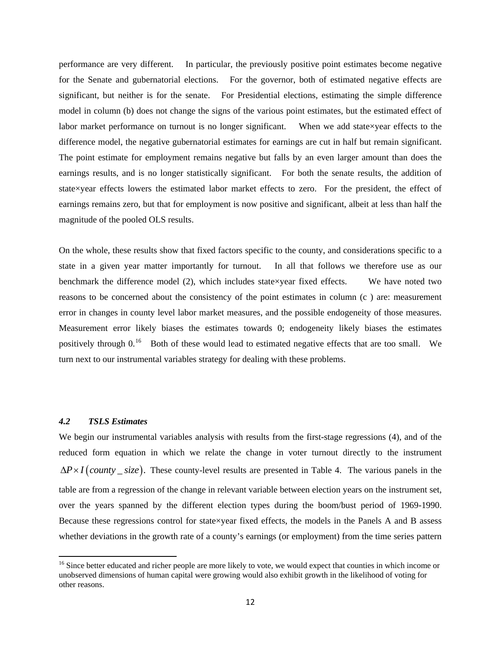performance are very different. In particular, the previously positive point estimates become negative for the Senate and gubernatorial elections. For the governor, both of estimated negative effects are significant, but neither is for the senate. For Presidential elections, estimating the simple difference model in column (b) does not change the signs of the various point estimates, but the estimated effect of labor market performance on turnout is no longer significant. When we add state×year effects to the difference model, the negative gubernatorial estimates for earnings are cut in half but remain significant. The point estimate for employment remains negative but falls by an even larger amount than does the earnings results, and is no longer statistically significant. For both the senate results, the addition of state×year effects lowers the estimated labor market effects to zero. For the president, the effect of earnings remains zero, but that for employment is now positive and significant, albeit at less than half the magnitude of the pooled OLS results.

On the whole, these results show that fixed factors specific to the county, and considerations specific to a state in a given year matter importantly for turnout. In all that follows we therefore use as our benchmark the difference model [\(2\)](#page-4-2), which includes state×year fixed effects. We have noted two reasons to be concerned about the consistency of the point estimates in column (c ) are: measurement error in changes in county level labor market measures, and the possible endogeneity of those measures. Measurement error likely biases the estimates towards 0; endogeneity likely biases the estimates positively through 0.<sup>[16](#page-12-0)</sup> Both of these would lead to estimated negative effects that are too small. We turn next to our instrumental variables strategy for dealing with these problems.

#### *4.2 TSLS Estimates*

We begin our instrumental variables analysis with results from the first-stage regressions [\(4\)](#page-5-1), and of the reduced form equation in which we relate the change in voter turnout directly to the instrument  $\Delta P \times I$  (*county \_ size*). These county-level results are presented in Table 4. The various panels in the table are from a regression of the change in relevant variable between election years on the instrument set, over the years spanned by the different election types during the boom/bust period of 1969-1990. Because these regressions control for state×year fixed effects, the models in the Panels A and B assess whether deviations in the growth rate of a county's earnings (or employment) from the time series pattern

<span id="page-12-0"></span><sup>&</sup>lt;sup>16</sup> Since better educated and richer people are more likely to vote, we would expect that counties in which income or unobserved dimensions of human capital were growing would also exhibit growth in the likelihood of voting for other reasons.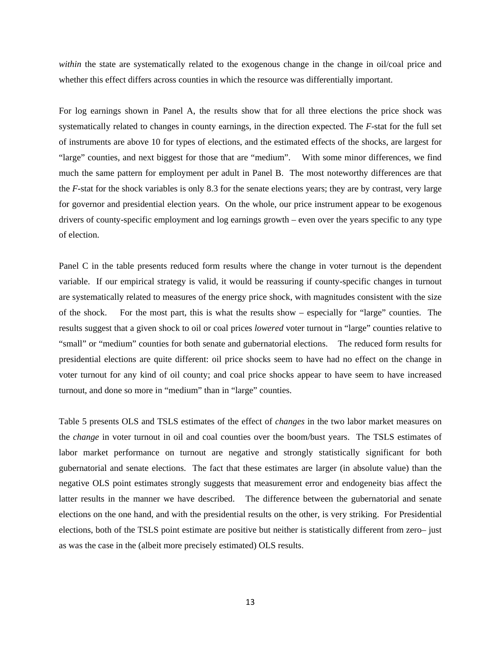*within* the state are systematically related to the exogenous change in the change in oil/coal price and whether this effect differs across counties in which the resource was differentially important.

For log earnings shown in Panel A, the results show that for all three elections the price shock was systematically related to changes in county earnings, in the direction expected. The *F*-stat for the full set of instruments are above 10 for types of elections, and the estimated effects of the shocks, are largest for "large" counties, and next biggest for those that are "medium". With some minor differences, we find much the same pattern for employment per adult in Panel B. The most noteworthy differences are that the *F*-stat for the shock variables is only 8.3 for the senate elections years; they are by contrast, very large for governor and presidential election years. On the whole, our price instrument appear to be exogenous drivers of county-specific employment and log earnings growth – even over the years specific to any type of election.

Panel C in the table presents reduced form results where the change in voter turnout is the dependent variable. If our empirical strategy is valid, it would be reassuring if county-specific changes in turnout are systematically related to measures of the energy price shock, with magnitudes consistent with the size of the shock. For the most part, this is what the results show – especially for "large" counties. The results suggest that a given shock to oil or coal prices *lowered* voter turnout in "large" counties relative to "small" or "medium" counties for both senate and gubernatorial elections. The reduced form results for presidential elections are quite different: oil price shocks seem to have had no effect on the change in voter turnout for any kind of oil county; and coal price shocks appear to have seem to have increased turnout, and done so more in "medium" than in "large" counties.

Table 5 presents OLS and TSLS estimates of the effect of *changes* in the two labor market measures on the *change* in voter turnout in oil and coal counties over the boom/bust years. The TSLS estimates of labor market performance on turnout are negative and strongly statistically significant for both gubernatorial and senate elections. The fact that these estimates are larger (in absolute value) than the negative OLS point estimates strongly suggests that measurement error and endogeneity bias affect the latter results in the manner we have described. The difference between the gubernatorial and senate elections on the one hand, and with the presidential results on the other, is very striking. For Presidential elections, both of the TSLS point estimate are positive but neither is statistically different from zero– just as was the case in the (albeit more precisely estimated) OLS results.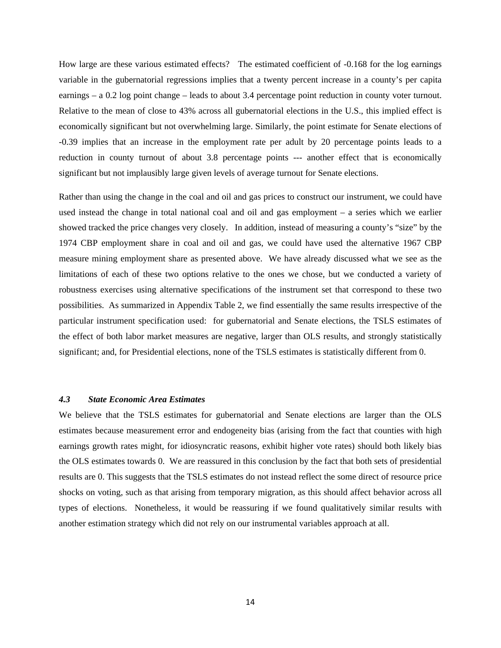How large are these various estimated effects? The estimated coefficient of -0.168 for the log earnings variable in the gubernatorial regressions implies that a twenty percent increase in a county's per capita earnings – a 0.2 log point change – leads to about 3.4 percentage point reduction in county voter turnout. Relative to the mean of close to 43% across all gubernatorial elections in the U.S., this implied effect is economically significant but not overwhelming large. Similarly, the point estimate for Senate elections of -0.39 implies that an increase in the employment rate per adult by 20 percentage points leads to a reduction in county turnout of about 3.8 percentage points --- another effect that is economically significant but not implausibly large given levels of average turnout for Senate elections.

Rather than using the change in the coal and oil and gas prices to construct our instrument, we could have used instead the change in total national coal and oil and gas employment – a series which we earlier showed tracked the price changes very closely. In addition, instead of measuring a county's "size" by the 1974 CBP employment share in coal and oil and gas, we could have used the alternative 1967 CBP measure mining employment share as presented above. We have already discussed what we see as the limitations of each of these two options relative to the ones we chose, but we conducted a variety of robustness exercises using alternative specifications of the instrument set that correspond to these two possibilities. As summarized in Appendix Table 2, we find essentially the same results irrespective of the particular instrument specification used: for gubernatorial and Senate elections, the TSLS estimates of the effect of both labor market measures are negative, larger than OLS results, and strongly statistically significant; and, for Presidential elections, none of the TSLS estimates is statistically different from 0.

#### *4.3 State Economic Area Estimates*

We believe that the TSLS estimates for gubernatorial and Senate elections are larger than the OLS estimates because measurement error and endogeneity bias (arising from the fact that counties with high earnings growth rates might, for idiosyncratic reasons, exhibit higher vote rates) should both likely bias the OLS estimates towards 0. We are reassured in this conclusion by the fact that both sets of presidential results are 0. This suggests that the TSLS estimates do not instead reflect the some direct of resource price shocks on voting, such as that arising from temporary migration, as this should affect behavior across all types of elections. Nonetheless, it would be reassuring if we found qualitatively similar results with another estimation strategy which did not rely on our instrumental variables approach at all.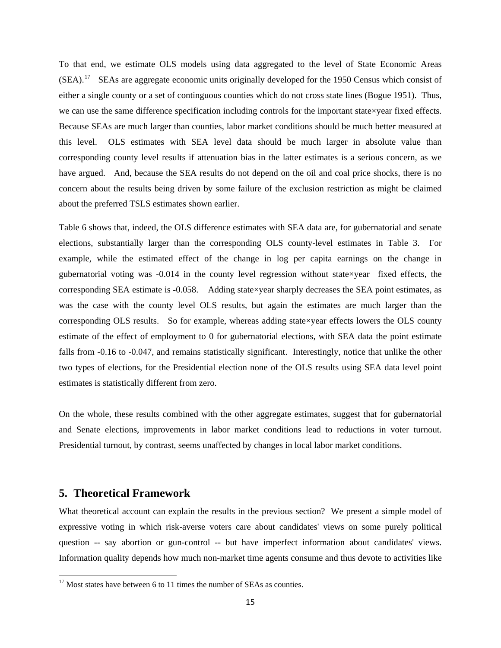To that end, we estimate OLS models using data aggregated to the level of State Economic Areas  $(SEA)$ .<sup>[17](#page-15-0)</sup> SEAs are aggregate economic units originally developed for the 1950 Census which consist of either a single county or a set of continguous counties which do not cross state lines (Bogue 1951). Thus, we can use the same difference specification including controls for the important state×year fixed effects. Because SEAs are much larger than counties, labor market conditions should be much better measured at this level. OLS estimates with SEA level data should be much larger in absolute value than corresponding county level results if attenuation bias in the latter estimates is a serious concern, as we have argued. And, because the SEA results do not depend on the oil and coal price shocks, there is no concern about the results being driven by some failure of the exclusion restriction as might be claimed about the preferred TSLS estimates shown earlier.

Table 6 shows that, indeed, the OLS difference estimates with SEA data are, for gubernatorial and senate elections, substantially larger than the corresponding OLS county-level estimates in Table 3. For example, while the estimated effect of the change in log per capita earnings on the change in gubernatorial voting was  $-0.014$  in the county level regression without state×year fixed effects, the corresponding SEA estimate is -0.058. Adding state×year sharply decreases the SEA point estimates, as was the case with the county level OLS results, but again the estimates are much larger than the corresponding OLS results. So for example, whereas adding state×year effects lowers the OLS county estimate of the effect of employment to 0 for gubernatorial elections, with SEA data the point estimate falls from -0.16 to -0.047, and remains statistically significant. Interestingly, notice that unlike the other two types of elections, for the Presidential election none of the OLS results using SEA data level point estimates is statistically different from zero.

On the whole, these results combined with the other aggregate estimates, suggest that for gubernatorial and Senate elections, improvements in labor market conditions lead to reductions in voter turnout. Presidential turnout, by contrast, seems unaffected by changes in local labor market conditions.

### **5. Theoretical Framework**

What theoretical account can explain the results in the previous section? We present a simple model of expressive voting in which risk-averse voters care about candidates' views on some purely political question -- say abortion or gun-control -- but have imperfect information about candidates' views. Information quality depends how much non-market time agents consume and thus devote to activities like

<span id="page-15-0"></span> $17$  Most states have between 6 to 11 times the number of SEAs as counties.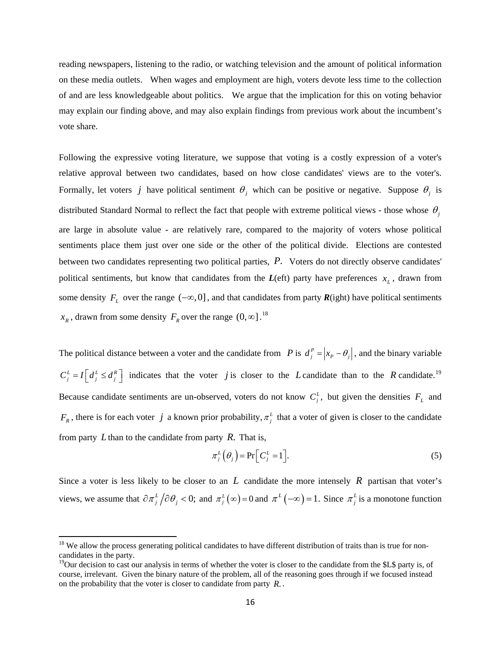reading newspapers, listening to the radio, or watching television and the amount of political information on these media outlets. When wages and employment are high, voters devote less time to the collection of and are less knowledgeable about politics. We argue that the implication for this on voting behavior may explain our finding above, and may also explain findings from previous work about the incumbent's vote share.

Following the expressive voting literature, we suppose that voting is a costly expression of a voter's relative approval between two candidates, based on how close candidates' views are to the voter's. Formally, let voters *j* have political sentiment  $\theta_i$  which can be positive or negative. Suppose  $\theta_i$  is distributed Standard Normal to reflect the fact that people with extreme political views - those whose  $\theta_i$ are large in absolute value - are relatively rare, compared to the majority of voters whose political sentiments place them just over one side or the other of the political divide. Elections are contested between two candidates representing two political parties, P. Voters do not directly observe candidates' political sentiments, but know that candidates from the  $L$ (eft) party have preferences  $x<sub>L</sub>$ , drawn from some density  $F_L$  over the range  $(-\infty, 0]$ , and that candidates from party  $R(\text{ight})$  have political sentiments  $x_R$ , drawn from some density  $F_R$  over the range  $(0, \infty]$ .<sup>[18](#page-16-0)</sup>

The political distance between a voter and the candidate from *P* is  $d_j^P = |x_p - \theta_j|$ , and the binary variable  $C_j^L = I\left[d_j^L \leq d_j^R\right]$  indicates that the voter *j* is closer to the *L* candidate than to the *R* candidate.<sup>19</sup> Because candidate sentiments are un-observed, voters do not know  $C_j^L$ , but given the densities  $F_L$  and  $F_R$ , there is for each voter *j* a known prior probability,  $\pi_i^L$  that a voter of given is closer to the candidate from party *L* than to the candidate from party *R*. That is,

$$
\pi_j^L(\theta_j) = \Pr\Big[C_j^L = 1\Big].\tag{5}
$$

Since a voter is less likely to be closer to an  $L$  candidate the more intensely  $R$  partisan that voter's views, we assume that  $\partial \pi_j^L / \partial \theta_j < 0$ ; and  $\pi_j^L (\infty) = 0$  and  $\pi_j^L (-\infty) = 1$ . Since  $\pi_j^L$  is a monotone function

<span id="page-16-0"></span> $18$  We allow the process generating political candidates to have different distribution of traits than is true for noncandidates in the party.

<span id="page-16-1"></span><sup>.</sup> on the probability that the voter is closer to candidate from party *R* . <sup>19</sup>Our decision to cast our analysis in terms of whether the voter is closer to the candidate from the \$L\$ party is, of course, irrelevant. Given the binary nature of the problem, all of the reasoning goes through if we focused instead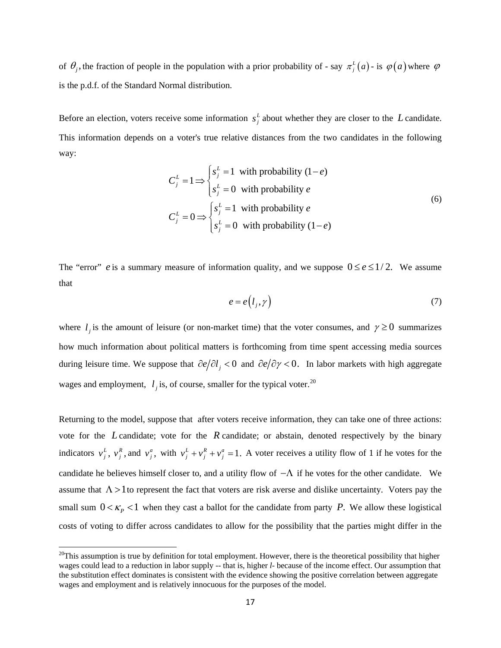of  $\theta_j$ , the fraction of people in the population with a prior probability of - say  $\pi_j^L(a)$  - is  $\varphi(a)$  where  $\varphi$ is the p.d.f. of the Standard Normal distribution.

Before an election, voters receive some information  $s_j^L$  about whether they are closer to the L candidate. This information depends on a voter's true relative distances from the two candidates in the following way:

$$
C_j^L = 1 \Longrightarrow \begin{cases} s_j^L = 1 & \text{with probability } (1 - e) \\ s_j^L = 0 & \text{with probability } e \end{cases}
$$
  
\n
$$
C_j^L = 0 \Longrightarrow \begin{cases} s_j^L = 1 & \text{with probability } e \\ s_j^L = 0 & \text{with probability } (1 - e) \end{cases}
$$
 (6)

The "error" *e* is a summary measure of information quality, and we suppose  $0 \le e \le 1/2$ . We assume that

$$
e = e(l_j, \gamma) \tag{7}
$$

where  $l_j$  is the amount of leisure (or non-market time) that the voter consumes, and  $\gamma \ge 0$  summarizes how much information about political matters is forthcoming from time spent accessing media sources during leisure time. We suppose that  $\partial e/\partial l_i < 0$  and  $\partial e/\partial \gamma < 0$ . In labor markets with high aggregate wages and employment,  $l_j$  is, of course, smaller for the typical voter.<sup>[20](#page-17-0)</sup>

Returning to the model, suppose that after voters receive information, they can take one of three actions: vote for the  $L$  candidate; vote for the  $R$  candidate; or abstain, denoted respectively by the binary indicators  $v_j^L$ ,  $v_j^R$ , and  $v_j^a$ , with  $v_j^L + v_j^R + v_j^a = 1$ . A voter receives a utility flow of 1 if he votes for the candidate he believes himself closer to, and a utility flow of  $-\Lambda$  if he votes for the other candidate. We assume that  $\Lambda > 1$  to represent the fact that voters are risk averse and dislike uncertainty. Voters pay the small sum  $0 < \kappa_p < 1$  when they cast a ballot for the candidate from party P. We allow these logistical costs of voting to differ across candidates to allow for the possibility that the parties might differ in the

<span id="page-17-0"></span> $20$ This assumption is true by definition for total employment. However, there is the theoretical possibility that higher wages could lead to a reduction in labor supply -- that is, higher *l*- because of the income effect. Our assumption that the substitution effect dominates is consistent with the evidence showing the positive correlation between aggregate wages and employment and is relatively innocuous for the purposes of the model.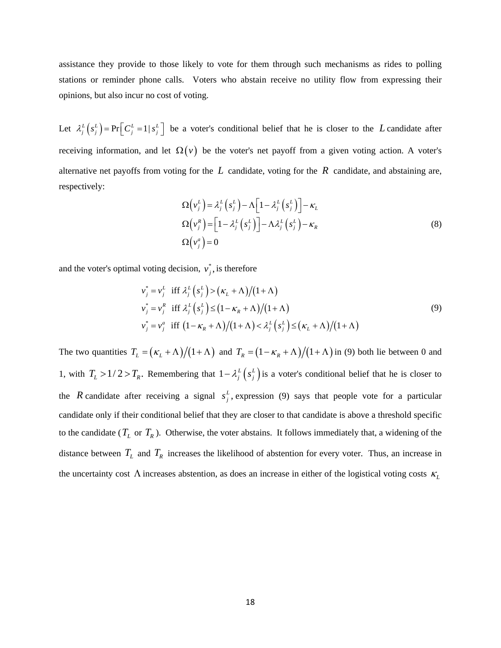assistance they provide to those likely to vote for them through such mechanisms as rides to polling stations or reminder phone calls. Voters who abstain receive no utility flow from expressing their opinions, but also incur no cost of voting.

Let  $\lambda_j^L(s_j^L) = Pr\left[C_j^L = 1 | s_j^L\right]$  be a voter's conditional belief that he is closer to the *L* candidate after receiving information, and let  $\Omega(v)$  be the voter's net payoff from a given voting action. A voter's alternative net payoffs from voting for the  $L$  candidate, voting for the  $R$  candidate, and abstaining are, respectively:

$$
\Omega(v_j^L) = \lambda_j^L(s_j^L) - \Lambda \Big[ 1 - \lambda_j^L(s_j^L) \Big] - \kappa_L
$$
  
\n
$$
\Omega(v_j^R) = \Big[ 1 - \lambda_j^L(s_j^L) \Big] - \Lambda \lambda_j^L(s_j^L) - \kappa_R
$$
  
\n
$$
\Omega(v_j^a) = 0
$$
\n(8)

<span id="page-18-0"></span>and the voter's optimal voting decision,  $v_j^*$ , is therefore

$$
v_j^* = v_j^L \text{ iff } \lambda_j^L \left( s_j^L \right) > \left( \kappa_L + \Lambda \right) / \left( 1 + \Lambda \right)
$$
  
\n
$$
v_j^* = v_j^R \text{ iff } \lambda_j^L \left( s_j^L \right) \le \left( 1 - \kappa_R + \Lambda \right) / \left( 1 + \Lambda \right)
$$
  
\n
$$
v_j^* = v_j^a \text{ iff } \left( 1 - \kappa_R + \Lambda \right) / \left( 1 + \Lambda \right) < \lambda_j^L \left( s_j^L \right) \le \left( \kappa_L + \Lambda \right) / \left( 1 + \Lambda \right)
$$
\n(9)

The two quantities  $T_L = (\kappa_L + \Lambda)/(1 + \Lambda)$  and  $T_R = (1 - \kappa_R + \Lambda)/(1 + \Lambda)$  in [\(9\)](#page-18-0) both lie between 0 and 1, with  $T_L > 1/2 > T_R$ . Remembering that  $1 - \lambda_j^L \left( s_j^L \right)$  is a voter's conditional belief that he is closer to the *R* candidate after receiving a signal  $s_j^L$ , expression [\(9\)](#page-18-0) says that people vote for a particular candidate only if their conditional belief that they are closer to that candidate is above a threshold specific to the candidate ( $T_L$  or  $T_R$ ). Otherwise, the voter abstains. It follows immediately that, a widening of the distance between  $T_L$  and  $T_R$  increases the likelihood of abstention for every voter. Thus, an increase in the uncertainty cost  $\Lambda$  increases abstention, as does an increase in either of the logistical voting costs  $\kappa$ <sup>L</sup>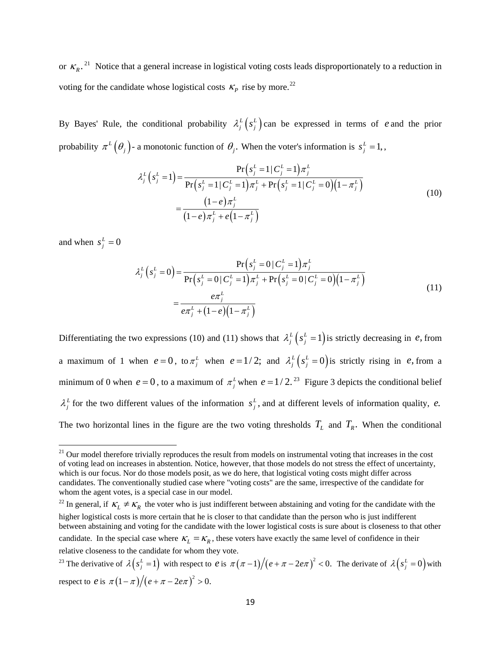or  $K_R$ .<sup>21</sup> Notice that a general increase in logistical voting costs leads disproportionately to a reduction in [voting for the candidate whose logistical costs](#page-19-0)  $\kappa_p$ rise by more.<sup>22</sup>

<span id="page-19-3"></span>By Bayes' Rule, the conditional probability  $\lambda_j^L \left( s_j^L \right)$  can be expressed in terms of e and the prior probability  $\pi^{L}(\theta_{j})$ - a monotonic function of  $\theta_{j}$ . When the voter's information is  $s_{j}^{L} = 1$ ,

$$
\lambda_j^L \left( s_j^L = 1 \right) = \frac{\Pr \left( s_j^L = 1 \mid C_j^L = 1 \right) \pi_j^L}{\Pr \left( s_j^L = 1 \mid C_j^L = 1 \right) \pi_j^L + \Pr \left( s_j^L = 1 \mid C_j^L = 0 \right) \left( 1 - \pi_j^L \right)}
$$
\n
$$
= \frac{\left( 1 - e \right) \pi_j^L}{\left( 1 - e \right) \pi_j^L + e \left( 1 - \pi_j^L \right)} \tag{10}
$$

<span id="page-19-4"></span>and when  $s_j^L = 0$ 

$$
\lambda_j^L \left( s_j^L = 0 \right) = \frac{\Pr \left( s_j^L = 0 \mid C_j^L = 1 \right) \pi_j^L}{\Pr \left( s_j^L = 0 \mid C_j^L = 1 \right) \pi_j^L + \Pr \left( s_j^L = 0 \mid C_j^L = 0 \right) \left( 1 - \pi_j^L \right)}
$$
\n
$$
= \frac{e \pi_j^L}{e \pi_j^L + (1 - e)(1 - \pi_j^L)}
$$
\n(11)

Differentiating the two expressions [\(10\)](#page-19-3) and [\(11\)](#page-19-4) shows that  $\lambda_j^L (s_j^L = 1)$  is strictly decreasing in *e*, from a maximum of 1 when  $e = 0$ , to  $\pi_i^L$  when  $e = 1/2$ ; and  $\lambda_i^L (s_i^L = 0)$  is strictly rising in e, from a minimum of 0 when  $e = 0$ , to a maximum of  $\pi^L$  when  $e = 1/2$ .<sup>23</sup> Figure 3 depicts the conditional belief  $\lambda_j^L$  for the two different values of the information  $s_j^L$ , and at different levels of information quality, *e*. The two horizontal lines in the figure are the two voting thresholds  $T<sub>L</sub>$  and  $T<sub>R</sub>$ . When the conditional

<span id="page-19-0"></span> $21$  Our model therefore trivially reproduces the result from models on instrumental voting that increases in the cost of voting lead on increases in abstention. Notice, however, that those models do not stress the effect of uncertainty, which is our focus. Nor do those models posit, as we do here, that logistical voting costs might differ across candidates. The conventionally studied case where "voting costs" are the same, irrespective of the candidate for whom the agent votes, is a special case in our model.

<span id="page-19-1"></span><sup>&</sup>lt;sup>22</sup> In general, if  $K_L \neq K_R$  the voter who is just indifferent between abstaining and voting for the candidate with the candidate. In the special case where  $\kappa_L = \kappa_R$ , these voters have exactly the same level of confidence in their higher logistical costs is more certain that he is closer to that candidate than the person who is just indifferent between abstaining and voting for the candidate with the lower logistical costs is sure about is closeness to that other relative closeness to the candidate for whom they vote.

<span id="page-19-2"></span><sup>&</sup>lt;sup>23</sup> The derivative of  $\lambda (s_i^L = 1)$  with respect to *e* is  $\pi (\pi - 1)/(e + \pi - 2e\pi)^2 < 0$ . The derivate of  $\lambda (s_i^L = 0)$  with respect to *e* is  $\pi (1 - \pi)/(e + \pi - 2e\pi)^2 > 0$ .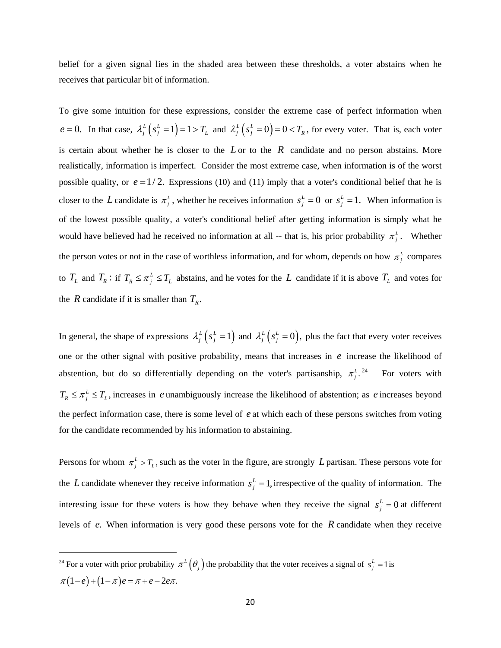[belief for a given signal lies in the shaded area between these thresholds, a voter abstains when he](#page-19-2)  [receives that particular bit of information.](#page-19-2) 

To give some intuition for these expressions, consider the extreme case of perfect information when  $e = 0$ . In that case,  $\lambda_j^L (s_j^L = 1) = 1 > T_L$  and  $\lambda_j^L (s_j^L = 0) = 0 < T_R$ , for every voter. That is, each voter is certain about whether he is closer to the  $L$  or to the  $R$  candidate and no person abstains. More realistically, information is imperfect. Consider the most extreme case, when information is of the worst possible quality, or  $e = 1/2$ . Expressions [\(10\)](#page-19-3) and [\(11\)](#page-19-4) imply that a voter's conditional belief that he is *closer* to the *L* candidate is  $\pi_j^L$ , whether he receives information  $s_j^L = 0$  or  $s_j^L = 1$ . When information is of the lowest possible quality, a voter's conditional belief after getting information is simply what he would have believed had he received no information at all -- that is, his prior probability  $\pi$ <sup>*l*</sup>. Whether the person votes or not in the case of worthless information, and for whom, depends on how  $\pi_i^L$  compares to  $T_L$  and  $T_R$ : if  $T_R \leq \pi \frac{L}{I} \leq T_L$  abstains, and he votes for the L candidate if it is above  $T_L$  and votes for the *R* candidate if it is smaller than  $T_R$ .

In general, the shape of expressions  $\lambda_j^L (s_j^L = 1)$  and  $\lambda_j^L (s_j^L = 0)$ , plus the fact that every voter receives one or the other signal with positive probability, means that increases in *e* increase the likelihood of abstention, but do so differentially depending on the voter's partisanship,  $\pi_i^L$ . For voters with  $T_R \leq \pi \frac{L}{l} \leq T_L$ , increases in *e* unambiguously increase the likelihood of abstention; as *e* increases beyond the perfect information case, there is some level of e at which each of these persons switches from voting [for the candidate recommended by his information to abstaining.](#page-20-0) 

Persons for whom  $\pi_j^L > T_L$ , such as the voter in the figure, are strongly L partisan. These persons vote for the L candidate whenever they receive information  $s_j^L = 1$ , irrespective of the quality of information. The interesting issue for these voters is how they behave when they receive the signal  $s_j^L = 0$  at different levels of  $e$ . When information is very good these persons vote for the  $R$  candidate when they receive

<span id="page-20-0"></span><sup>&</sup>lt;sup>24</sup> For a voter with prior probability  $\pi^L(\theta_j)$  the probability that the voter receives a signal of  $s_j^L = 1$  is  $\pi(1-e)+(1-\pi)e=\pi+e-2e\pi$ .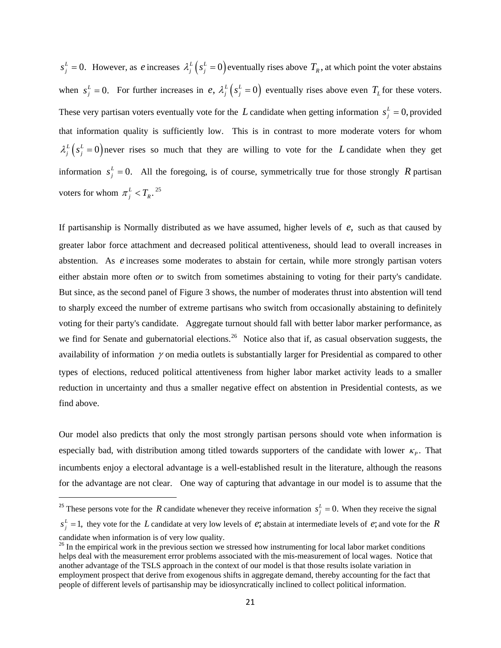$s_j^L = 0$ . However, as *e* increases  $\lambda_j^L (s_j^L = 0)$  eventually rises above  $T_R$ , at which point the voter abstains when  $s_j^L = 0$ . For further increases in *e*,  $\lambda_j^L (s_j^L = 0)$  eventually rises above even  $T_L$  for these voters. These very partisan voters eventually vote for the L candidate when getting information  $s_j^L = 0$ , provided that information quality is sufficiently low. This is in contrast to more moderate voters for whom  $\lambda_j^L (s_j^L = 0)$  never rises so much that they are willing to vote for the *L* candidate when they get information  $s_j^L = 0$ . All the foregoing, is of course, symmetrically true for those strongly R partisan voters for whom  $\pi_j^L < T_R$ .<sup>25</sup>

abstention. As *e* increases some moderates to abstain for certain, while more strongly partisan voters If partisanship is Normally distributed as we have assumed, higher levels of  $e$ , such as that caused by greater labor force attachment and decreased political attentiveness, should lead to overall increases in either abstain more often *or* to switch from sometimes abstaining to voting for their party's candidate. But since, as the second panel of Figure 3 shows, the number of moderates thrust into abstention will tend to sharply exceed the number of extreme partisans who switch from occasionally abstaining to definitely voting for their party's candidate. Aggregate turnout should fall with better labor marker performance, as we find for Senate and gubernatorial elections.<sup>[26](#page-21-0)</sup> Notice also that if, as casual observation suggests, the availability of information  $\gamma$  on media outlets is substantially larger for Presidential as compared to other types of elections, reduced political attentiveness from higher labor market activity leads to a smaller reduction in uncertainty and thus a smaller negative effect on abstention in Presidential contests, as we find above.

Our model also predicts that only the most strongly partisan persons should vote when information is especially bad, with distribution among titled towards supporters of the candidate with lower  $\kappa_p$ . That incumbents enjoy a electoral advantage is a well-established result in the literature, although the reasons for the advantage are not clear. One way of capturing that advantage in our model is to assume that the

<sup>&</sup>lt;sup>25</sup> These persons vote for the R candidate whenever they receive information  $s_j^L = 0$ . When they receive the signal

 $s_j^L = 1$ , they vote for the L candidate at very low levels of e; abstain at intermediate levels of e; and vote for the R candidate when information is of very low quality.

<span id="page-21-0"></span> $26$  In the empirical work in the previous section we stressed how instrumenting for local labor market conditions helps deal with the measurement error problems associated with the mis-measurement of local wages. Notice that another advantage of the TSLS approach in the context of our model is that those results isolate variation in employment prospect that derive from exogenous shifts in aggregate demand, thereby accounting for the fact that people of different levels of partisanship may be idiosyncratically inclined to collect political information.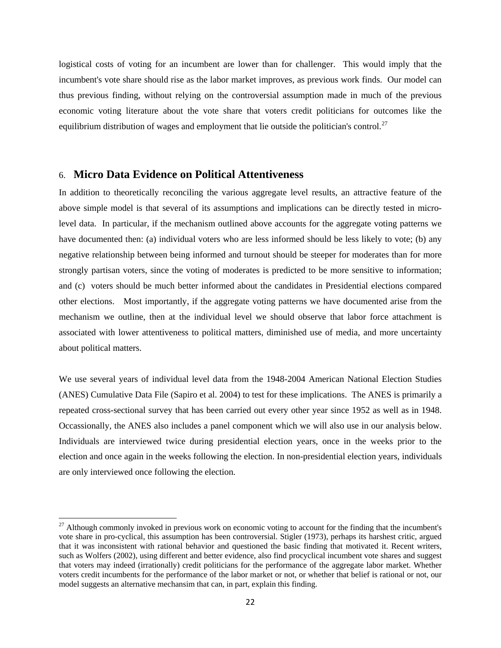logistical costs of voting for an incumbent are lower than for challenger. This would imply that the incumbent's vote share should rise as the labor market improves, as previous work finds. Our model can thus previous finding, without relying on the controversial assumption made in much of the previous economic voting literature about the vote share that voters credit politicians for outcomes like the equilibrium distribution of wages and employment that lie outside the politician's control.<sup>[27](#page-22-0)</sup>

## 6. **Micro Data Evidence on Political Attentiveness**

In addition to theoretically reconciling the various aggregate level results, an attractive feature of the above simple model is that several of its assumptions and implications can be directly tested in microlevel data. In particular, if the mechanism outlined above accounts for the aggregate voting patterns we have documented then: (a) individual voters who are less informed should be less likely to vote; (b) any negative relationship between being informed and turnout should be steeper for moderates than for more strongly partisan voters, since the voting of moderates is predicted to be more sensitive to information; and (c) voters should be much better informed about the candidates in Presidential elections compared other elections. Most importantly, if the aggregate voting patterns we have documented arise from the mechanism we outline, then at the individual level we should observe that labor force attachment is associated with lower attentiveness to political matters, diminished use of media, and more uncertainty about political matters.

We use several years of individual level data from the 1948-2004 American National Election Studies (ANES) Cumulative Data File (Sapiro et al. 2004) to test for these implications. The ANES is primarily a repeated cross-sectional survey that has been carried out every other year since 1952 as well as in 1948. Occassionally, the ANES also includes a panel component which we will also use in our analysis below. Individuals are interviewed twice during presidential election years, once in the weeks prior to the election and once again in the weeks following the election. In non-presidential election years, individuals are only interviewed once following the election.

<span id="page-22-0"></span> $^{27}$  Although commonly invoked in previous work on economic voting to account for the finding that the incumbent's vote share in pro-cyclical, this assumption has been controversial. Stigler (1973), perhaps its harshest critic, argued that it was inconsistent with rational behavior and questioned the basic finding that motivated it. Recent writers, such as Wolfers (2002), using different and better evidence, also find procyclical incumbent vote shares and suggest that voters may indeed (irrationally) credit politicians for the performance of the aggregate labor market. Whether voters credit incumbents for the performance of the labor market or not, or whether that belief is rational or not, our model suggests an alternative mechansim that can, in part, explain this finding.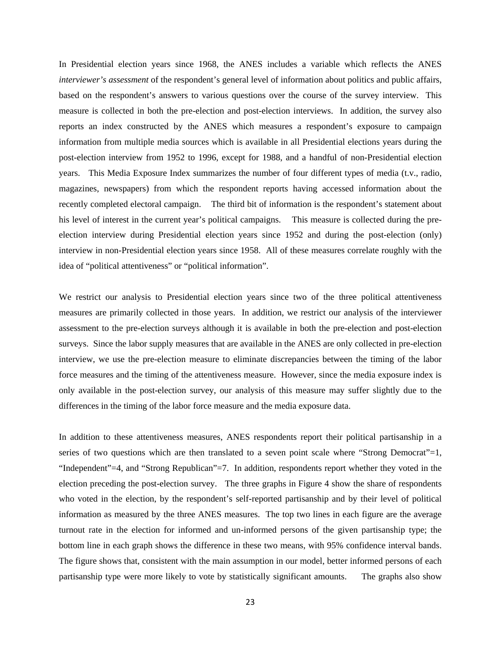In Presidential election years since 1968, the ANES includes a variable which reflects the ANES *interviewer's assessment* of the respondent's general level of information about politics and public affairs, based on the respondent's answers to various questions over the course of the survey interview. This measure is collected in both the pre-election and post-election interviews. In addition, the survey also reports an index constructed by the ANES which measures a respondent's exposure to campaign information from multiple media sources which is available in all Presidential elections years during the post-election interview from 1952 to 1996, except for 1988, and a handful of non-Presidential election years. This Media Exposure Index summarizes the number of four different types of media (t.v., radio, magazines, newspapers) from which the respondent reports having accessed information about the recently completed electoral campaign. The third bit of information is the respondent's statement about his level of interest in the current year's political campaigns. This measure is collected during the preelection interview during Presidential election years since 1952 and during the post-election (only) interview in non-Presidential election years since 1958. All of these measures correlate roughly with the idea of "political attentiveness" or "political information".

We restrict our analysis to Presidential election years since two of the three political attentiveness measures are primarily collected in those years. In addition, we restrict our analysis of the interviewer assessment to the pre-election surveys although it is available in both the pre-election and post-election surveys. Since the labor supply measures that are available in the ANES are only collected in pre-election interview, we use the pre-election measure to eliminate discrepancies between the timing of the labor force measures and the timing of the attentiveness measure. However, since the media exposure index is only available in the post-election survey, our analysis of this measure may suffer slightly due to the differences in the timing of the labor force measure and the media exposure data.

In addition to these attentiveness measures, ANES respondents report their political partisanship in a series of two questions which are then translated to a seven point scale where "Strong Democrat"=1, "Independent"=4, and "Strong Republican"=7. In addition, respondents report whether they voted in the election preceding the post-election survey. The three graphs in Figure 4 show the share of respondents who voted in the election, by the respondent's self-reported partisanship and by their level of political information as measured by the three ANES measures. The top two lines in each figure are the average turnout rate in the election for informed and un-informed persons of the given partisanship type; the bottom line in each graph shows the difference in these two means, with 95% confidence interval bands. The figure shows that, consistent with the main assumption in our model, better informed persons of each partisanship type were more likely to vote by statistically significant amounts. The graphs also show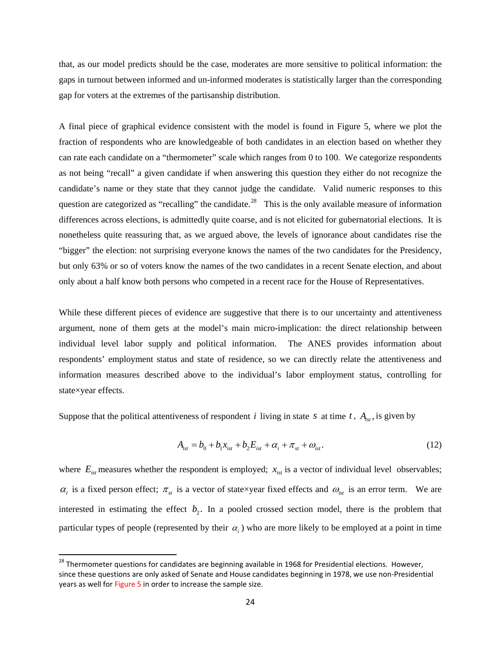that, as our model predicts should be the case, moderates are more sensitive to political information: the gaps in turnout between informed and un-informed moderates is statistically larger than the corresponding gap for voters at the extremes of the partisanship distribution.

A final piece of graphical evidence consistent with the model is found in Figure 5, where we plot the fraction of respondents who are knowledgeable of both candidates in an election based on whether they can rate each candidate on a "thermometer" scale which ranges from 0 to 100. We categorize respondents as not being "recall" a given candidate if when answering this question they either do not recognize the candidate's name or they state that they cannot judge the candidate. Valid numeric responses to this question are categorized as "recalling" the candidate.<sup>[28](#page-24-0)</sup> This is the only available measure of information differences across elections, is admittedly quite coarse, and is not elicited for gubernatorial elections. It is nonetheless quite reassuring that, as we argued above, the levels of ignorance about candidates rise the "bigger" the election: not surprising everyone knows the names of the two candidates for the Presidency, but only 63% or so of voters know the names of the two candidates in a recent Senate election, and about only about a half know both persons who competed in a recent race for the House of Representatives.

While these different pieces of evidence are suggestive that there is to our uncertainty and attentiveness argument, none of them gets at the model's main micro-implication: the direct relationship between individual level labor supply and political information. The ANES provides information about respondents' employment status and state of residence, so we can directly relate the attentiveness and information measures described above to the individual's labor employment status, controlling for state×year effects.

Suppose that the political attentiveness of respondent *i* living in state *s* at time *t*,  $A_{i,t}$ , is given by

$$
A_{_{ist}} = b_0 + b_1 x_{_{ist}} + b_2 E_{_{ist}} + \alpha_i + \pi_{_{st}} + \omega_{_{ist}}.
$$
\n(12)

where  $E_{is}$  measures whether the respondent is employed;  $x_{is}$  is a vector of individual level observables;  $\alpha_i$  is a fixed person effect;  $\pi_{st}$  is a vector of state×year fixed effects and  $\omega_{ist}$  is an error term. We are interested in estimating the effect  $b_2$ . In a pooled crossed section model, there is the problem that particular types of people (represented by their  $\alpha_i$ ) who are more likely to be employed at a point in time

<span id="page-24-0"></span><sup>&</sup>lt;sup>28</sup> Thermometer questions for candidates are beginning available in 1968 for Presidential elections. However, since these questions are only asked of Senate and House candidates beginning in 1978, we use non‐Presidential years as well for Figure 5 in order to increase the sample size.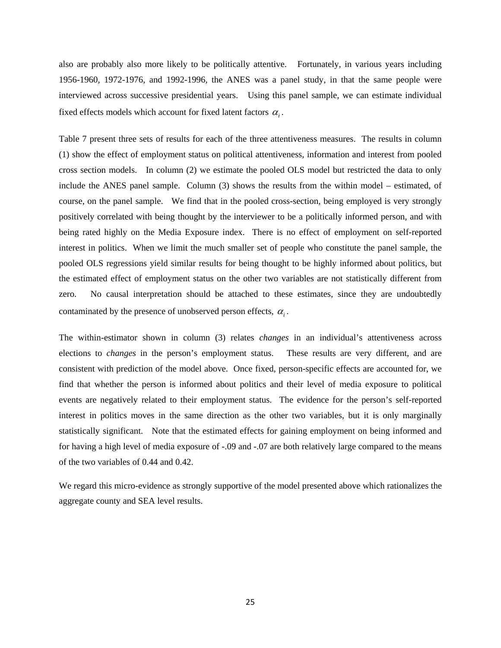also are probably also more likely to be politically attentive. Fortunately, in various years including 1956-1960, 1972-1976, and 1992-1996, the ANES was a panel study, in that the same people were interviewed across successive presidential years. Using this panel sample, we can estimate individual fixed effects models which account for fixed latent factors  $\alpha_i$ .

Table 7 present three sets of results for each of the three attentiveness measures. The results in column (1) show the effect of employment status on political attentiveness, information and interest from pooled cross section models. In column (2) we estimate the pooled OLS model but restricted the data to only include the ANES panel sample. Column (3) shows the results from the within model – estimated, of course, on the panel sample. We find that in the pooled cross-section, being employed is very strongly positively correlated with being thought by the interviewer to be a politically informed person, and with being rated highly on the Media Exposure index. There is no effect of employment on self-reported interest in politics. When we limit the much smaller set of people who constitute the panel sample, the pooled OLS regressions yield similar results for being thought to be highly informed about politics, but the estimated effect of employment status on the other two variables are not statistically different from zero. No causal interpretation should be attached to these estimates, since they are undoubtedly contaminated by the presence of unobserved person effects, <sup>α</sup>*<sup>i</sup>* .

The within-estimator shown in column (3) relates *changes* in an individual's attentiveness across elections to *changes* in the person's employment status. These results are very different, and are consistent with prediction of the model above. Once fixed, person-specific effects are accounted for, we find that whether the person is informed about politics and their level of media exposure to political events are negatively related to their employment status. The evidence for the person's self-reported interest in politics moves in the same direction as the other two variables, but it is only marginally statistically significant. Note that the estimated effects for gaining employment on being informed and for having a high level of media exposure of -.09 and -.07 are both relatively large compared to the means of the two variables of 0.44 and 0.42.

We regard this micro-evidence as strongly supportive of the model presented above which rationalizes the aggregate county and SEA level results.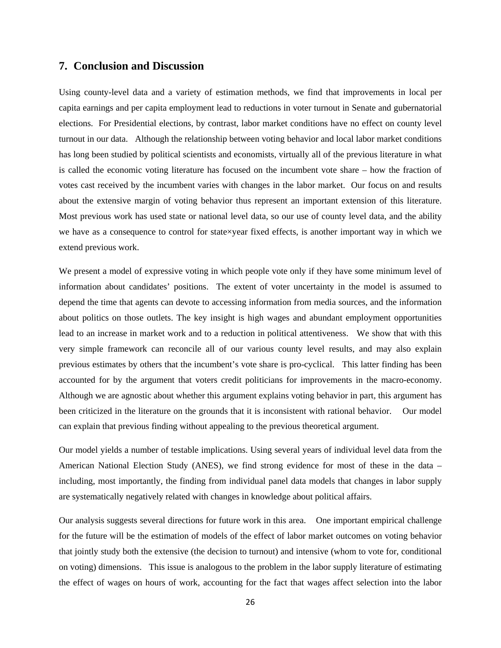#### **7. Conclusion and Discussion**

Using county-level data and a variety of estimation methods, we find that improvements in local per capita earnings and per capita employment lead to reductions in voter turnout in Senate and gubernatorial elections. For Presidential elections, by contrast, labor market conditions have no effect on county level turnout in our data. Although the relationship between voting behavior and local labor market conditions has long been studied by political scientists and economists, virtually all of the previous literature in what is called the economic voting literature has focused on the incumbent vote share – how the fraction of votes cast received by the incumbent varies with changes in the labor market. Our focus on and results about the extensive margin of voting behavior thus represent an important extension of this literature. Most previous work has used state or national level data, so our use of county level data, and the ability we have as a consequence to control for state×year fixed effects, is another important way in which we extend previous work.

We present a model of expressive voting in which people vote only if they have some minimum level of information about candidates' positions. The extent of voter uncertainty in the model is assumed to depend the time that agents can devote to accessing information from media sources, and the information about politics on those outlets. The key insight is high wages and abundant employment opportunities lead to an increase in market work and to a reduction in political attentiveness. We show that with this very simple framework can reconcile all of our various county level results, and may also explain previous estimates by others that the incumbent's vote share is pro-cyclical. This latter finding has been accounted for by the argument that voters credit politicians for improvements in the macro-economy. Although we are agnostic about whether this argument explains voting behavior in part, this argument has been criticized in the literature on the grounds that it is inconsistent with rational behavior. Our model can explain that previous finding without appealing to the previous theoretical argument.

Our model yields a number of testable implications. Using several years of individual level data from the American National Election Study (ANES), we find strong evidence for most of these in the data – including, most importantly, the finding from individual panel data models that changes in labor supply are systematically negatively related with changes in knowledge about political affairs.

Our analysis suggests several directions for future work in this area. One important empirical challenge for the future will be the estimation of models of the effect of labor market outcomes on voting behavior that jointly study both the extensive (the decision to turnout) and intensive (whom to vote for, conditional on voting) dimensions. This issue is analogous to the problem in the labor supply literature of estimating the effect of wages on hours of work, accounting for the fact that wages affect selection into the labor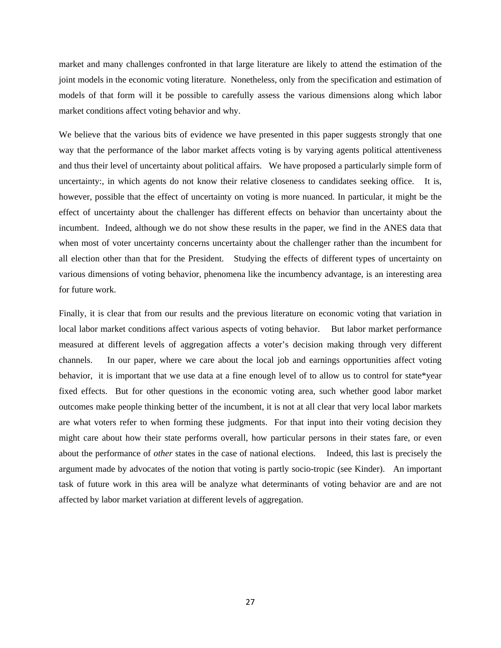market and many challenges confronted in that large literature are likely to attend the estimation of the joint models in the economic voting literature. Nonetheless, only from the specification and estimation of models of that form will it be possible to carefully assess the various dimensions along which labor market conditions affect voting behavior and why.

We believe that the various bits of evidence we have presented in this paper suggests strongly that one way that the performance of the labor market affects voting is by varying agents political attentiveness and thus their level of uncertainty about political affairs. We have proposed a particularly simple form of uncertainty:, in which agents do not know their relative closeness to candidates seeking office. It is, however, possible that the effect of uncertainty on voting is more nuanced. In particular, it might be the effect of uncertainty about the challenger has different effects on behavior than uncertainty about the incumbent. Indeed, although we do not show these results in the paper, we find in the ANES data that when most of voter uncertainty concerns uncertainty about the challenger rather than the incumbent for all election other than that for the President. Studying the effects of different types of uncertainty on various dimensions of voting behavior, phenomena like the incumbency advantage, is an interesting area for future work.

Finally, it is clear that from our results and the previous literature on economic voting that variation in local labor market conditions affect various aspects of voting behavior. But labor market performance measured at different levels of aggregation affects a voter's decision making through very different channels. In our paper, where we care about the local job and earnings opportunities affect voting behavior, it is important that we use data at a fine enough level of to allow us to control for state\*year fixed effects. But for other questions in the economic voting area, such whether good labor market outcomes make people thinking better of the incumbent, it is not at all clear that very local labor markets are what voters refer to when forming these judgments. For that input into their voting decision they might care about how their state performs overall, how particular persons in their states fare, or even about the performance of *other* states in the case of national elections. Indeed, this last is precisely the argument made by advocates of the notion that voting is partly socio-tropic (see Kinder). An important task of future work in this area will be analyze what determinants of voting behavior are and are not affected by labor market variation at different levels of aggregation.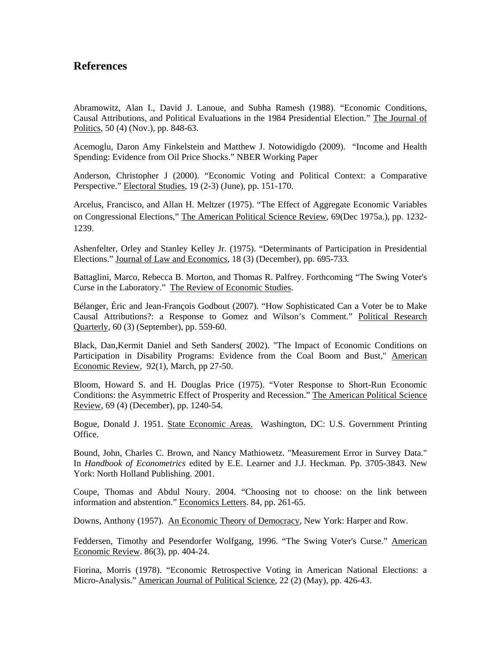## **References**

Abramowitz, Alan I., David J. Lanoue, and Subha Ramesh (1988). "Economic Conditions, Causal Attributions, and Political Evaluations in the 1984 Presidential Election." The Journal of Politics, 50 (4) (Nov.), pp. 848-63.

Acemoglu, Daron Amy Finkelstein and Matthew J. Notowidigdo (2009). "[Income and Health](http://econ-www.mit.edu/files/3871)  [Spending: Evidence from Oil Price Shocks](http://econ-www.mit.edu/files/3871)." NBER Working Paper

Anderson, Christopher J (2000). "Economic Voting and Political Context: a Comparative Perspective." Electoral Studies, 19 (2-3) (June), pp. 151-170.

Arcelus, Francisco, and Allan H. Meltzer (1975). "The Effect of Aggregate Economic Variables on Congressional Elections," The American Political Science Review, 69(Dec 1975a.), pp. 1232- 1239.

Ashenfelter, Orley and Stanley Kelley Jr. (1975). "Determinants of Participation in Presidential Elections." Journal of Law and Economics, 18 (3) (December), pp. 695-733.

Battaglini, Marco, Rebecca B. Morton, and Thomas R. Palfrey. Forthcoming "The Swing Voter's Curse in the Laboratory." The Review of Economic Studies.

Bélanger, Éric and Jean-François Godbout (2007). "How Sophisticated Can a Voter be to Make Causal Attributions?: a Response to Gomez and Wilson's Comment." Political Research Quarterly, 60 (3) (September), pp. 559-60.

Black, Dan,Kermit Daniel and Seth Sanders( 2002). "[The Impact of Economic Conditions on](http://ideas.repec.org/a/aea/aecrev/v92y2002i1p27-50.html)  [Participation in Disability Programs: Evidence from the Coal Boom and Bust](http://ideas.repec.org/a/aea/aecrev/v92y2002i1p27-50.html)," [American](http://ideas.repec.org/s/aea/aecrev.html)  [Economic Review,](http://ideas.repec.org/s/aea/aecrev.html) 92(1), March, pp 27-50.

Bloom, Howard S. and H. Douglas Price (1975). "Voter Response to Short-Run Economic Conditions: the Asymmetric Effect of Prosperity and Recession." The American Political Science Review, 69 (4) (December), pp. 1240-54.

Bogue, Donald J. 1951. State Economic Areas. Washington, DC: U.S. Government Printing Office.

Bound, John, Charles C. Brown, and Nancy Mathiowetz. "Measurement Error in Survey Data." In *Handbook of Econometrics* edited by E.E. Learner and J.J. Heckman. Pp. 3705-3843. New York: North Holland Publishing. 2001.

Coupe, Thomas and Abdul Noury. 2004. "Choosing not to choose: on the link between information and abstention." Economics Letters. 84, pp. 261-65.

Downs, Anthony (1957). An Economic Theory of Democracy, New York: Harper and Row.

Feddersen, Timothy and Pesendorfer Wolfgang, 1996. "The Swing Voter's Curse." American Economic Review. 86(3), pp. 404-24.

Fiorina, Morris (1978). "Economic Retrospective Voting in American National Elections: a Micro-Analysis." American Journal of Political Science, 22 (2) (May), pp. 426-43.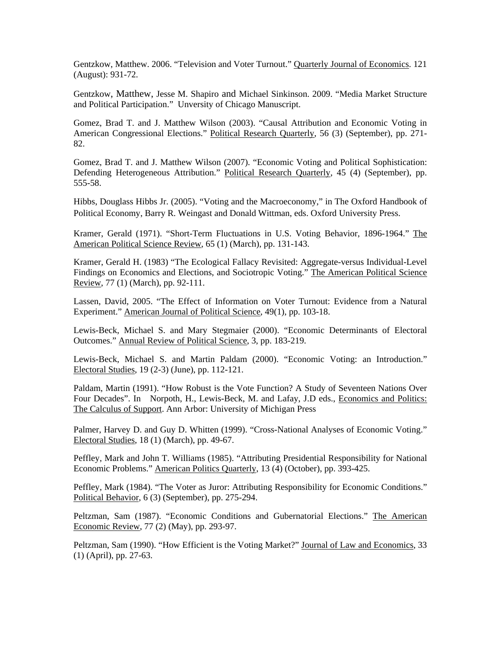Gentzkow, Matthew. 2006. "Television and Voter Turnout." Quarterly Journal of Economics. 121 (August): 931-72.

Gentzkow, Matthew, Jesse M. Shapiro and Michael Sinkinson. 2009. "Media Market Structure and Political Participation." Unversity of Chicago Manuscript.

Gomez, Brad T. and J. Matthew Wilson (2003). "Causal Attribution and Economic Voting in American Congressional Elections." Political Research Quarterly, 56 (3) (September), pp. 271-82.

Gomez, Brad T. and J. Matthew Wilson (2007). "Economic Voting and Political Sophistication: Defending Heterogeneous Attribution." Political Research Quarterly, 45 (4) (September), pp. 555-58.

Hibbs, Douglass Hibbs Jr. (2005). "Voting and the Macroeconomy," in The Oxford Handbook of Political Economy, Barry R. Weingast and Donald Wittman, eds. Oxford University Press.

Kramer, Gerald (1971). "Short-Term Fluctuations in U.S. Voting Behavior, 1896-1964." The American Political Science Review, 65 (1) (March), pp. 131-143.

Kramer, Gerald H. (1983) "The Ecological Fallacy Revisited: Aggregate-versus Individual-Level Findings on Economics and Elections, and Sociotropic Voting." The American Political Science Review, 77 (1) (March), pp. 92-111.

Lassen, David, 2005. "The Effect of Information on Voter Turnout: Evidence from a Natural Experiment." American Journal of Political Science, 49(1), pp. 103-18.

Lewis-Beck, Michael S. and Mary Stegmaier (2000). "Economic Determinants of Electoral Outcomes." Annual Review of Political Science, 3, pp. 183-219.

Lewis-Beck, Michael S. and Martin Paldam (2000). "Economic Voting: an Introduction." Electoral Studies, 19 (2-3) (June), pp. 112-121.

Paldam, Martin (1991). "How Robust is the Vote Function? A Study of Seventeen Nations Over Four Decades". In Norpoth, H., Lewis-Beck, M. and Lafay, J.D eds., Economics and Politics: The Calculus of Support. Ann Arbor: University of Michigan Press

Palmer, Harvey D. and Guy D. Whitten (1999). "Cross-National Analyses of Economic Voting." Electoral Studies, 18 (1) (March), pp. 49-67.

Peffley, Mark and John T. Williams (1985). "Attributing Presidential Responsibility for National Economic Problems." American Politics Quarterly, 13 (4) (October), pp. 393-425.

Peffley, Mark (1984). "The Voter as Juror: Attributing Responsibility for Economic Conditions." Political Behavior, 6 (3) (September), pp. 275-294.

Peltzman, Sam (1987). "Economic Conditions and Gubernatorial Elections." The American Economic Review, 77 (2) (May), pp. 293-97.

Peltzman, Sam (1990). "How Efficient is the Voting Market?" Journal of Law and Economics, 33 (1) (April), pp. 27-63.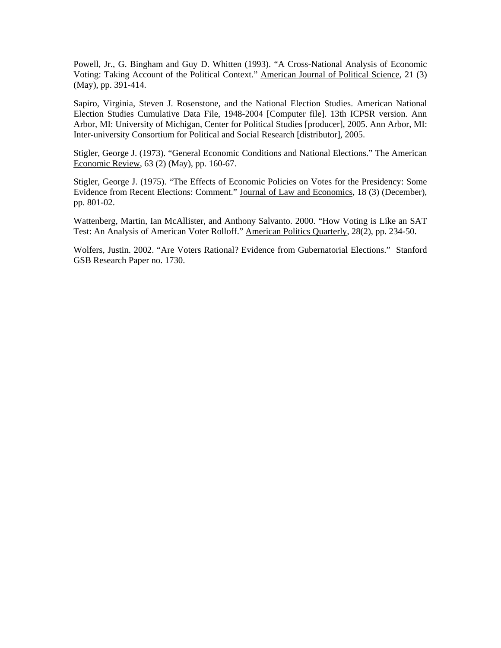Powell, Jr., G. Bingham and Guy D. Whitten (1993). "A Cross-National Analysis of Economic Voting: Taking Account of the Political Context." American Journal of Political Science*,* 21 (3) (May), pp. 391-414.

Sapiro, Virginia, Steven J. Rosenstone, and the National Election Studies. American National Election Studies Cumulative Data File, 1948-2004 [Computer file]. 13th ICPSR version. Ann Arbor, MI: University of Michigan, Center for Political Studies [producer], 2005. Ann Arbor, MI: Inter-university Consortium for Political and Social Research [distributor], 2005.

Stigler, George J. (1973). "General Economic Conditions and National Elections." The American Economic Review, 63 (2) (May), pp. 160-67.

Stigler, George J. (1975). "The Effects of Economic Policies on Votes for the Presidency: Some Evidence from Recent Elections: Comment." Journal of Law and Economics, 18 (3) (December), pp. 801-02.

Wattenberg, Martin, Ian McAllister, and Anthony Salvanto. 2000. "How Voting is Like an SAT Test: An Analysis of American Voter Rolloff." American Politics Quarterly, 28(2), pp. 234-50.

Wolfers, Justin. 2002. "Are Voters Rational? Evidence from Gubernatorial Elections." Stanford GSB Research Paper no. 1730.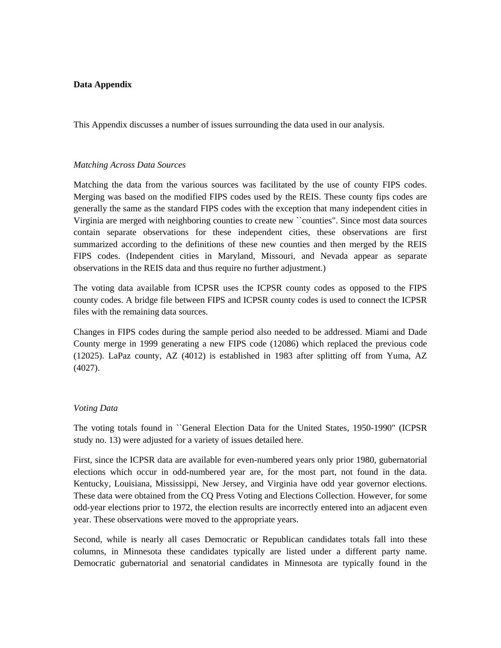#### **Data Appendix**

This Appendix discusses a number of issues surrounding the data used in our analysis.

#### *Matching Across Data Sources*

Matching the data from the various sources was facilitated by the use of county FIPS codes. Merging was based on the modified FIPS codes used by the REIS. These county fips codes are generally the same as the standard FIPS codes with the exception that many independent cities in Virginia are merged with neighboring counties to create new ``counties". Since most data sources contain separate observations for these independent cities, these observations are first summarized according to the definitions of these new counties and then merged by the REIS FIPS codes. (Independent cities in Maryland, Missouri, and Nevada appear as separate observations in the REIS data and thus require no further adjustment.)

The voting data available from ICPSR uses the ICPSR county codes as opposed to the FIPS county codes. A bridge file between FIPS and ICPSR county codes is used to connect the ICPSR files with the remaining data sources.

Changes in FIPS codes during the sample period also needed to be addressed. Miami and Dade County merge in 1999 generating a new FIPS code (12086) which replaced the previous code (12025). LaPaz county, AZ (4012) is established in 1983 after splitting off from Yuma, AZ (4027).

#### *Voting Data*

The voting totals found in ``General Election Data for the United States, 1950-1990" (ICPSR study no. 13) were adjusted for a variety of issues detailed here.

First, since the ICPSR data are available for even-numbered years only prior 1980, gubernatorial elections which occur in odd-numbered year are, for the most part, not found in the data. Kentucky, Louisiana, Mississippi, New Jersey, and Virginia have odd year governor elections. These data were obtained from the CQ Press Voting and Elections Collection. However, for some odd-year elections prior to 1972, the election results are incorrectly entered into an adjacent even year. These observations were moved to the appropriate years.

Second, while is nearly all cases Democratic or Republican candidates totals fall into these columns, in Minnesota these candidates typically are listed under a different party name. Democratic gubernatorial and senatorial candidates in Minnesota are typically found in the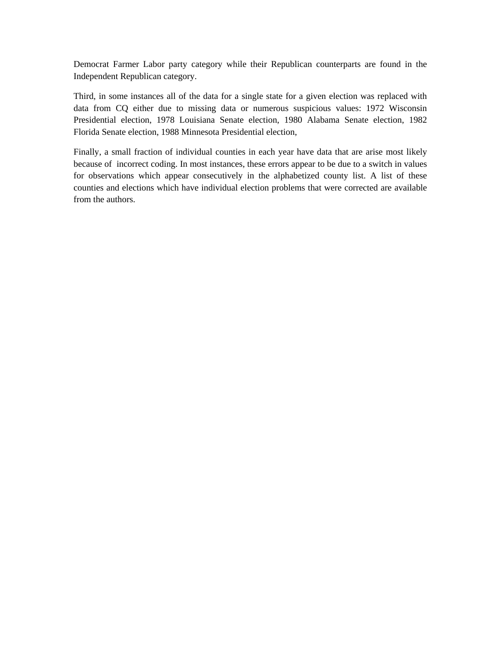Democrat Farmer Labor party category while their Republican counterparts are found in the Independent Republican category.

Third, in some instances all of the data for a single state for a given election was replaced with data from CQ either due to missing data or numerous suspicious values: 1972 Wisconsin Presidential election, 1978 Louisiana Senate election, 1980 Alabama Senate election, 1982 Florida Senate election, 1988 Minnesota Presidential election,

Finally, a small fraction of individual counties in each year have data that are arise most likely because of incorrect coding. In most instances, these errors appear to be due to a switch in values for observations which appear consecutively in the alphabetized county list. A list of these counties and elections which have individual election problems that were corrected are available from the authors.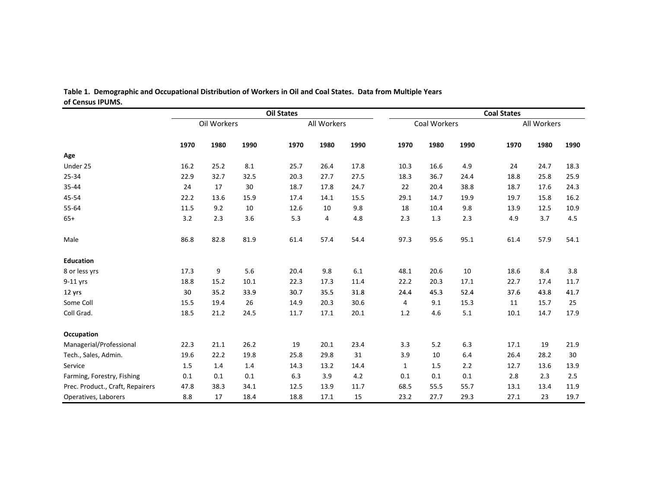|                                  | <b>Oil States</b> |      |      |      |             |      |              | <b>Coal States</b> |      |      |             |      |
|----------------------------------|-------------------|------|------|------|-------------|------|--------------|--------------------|------|------|-------------|------|
|                                  | Oil Workers       |      |      |      | All Workers |      | Coal Workers |                    |      |      | All Workers |      |
|                                  | 1970              | 1980 | 1990 | 1970 | 1980        | 1990 | 1970         | 1980               | 1990 | 1970 | 1980        | 1990 |
| Age                              |                   |      |      |      |             |      |              |                    |      |      |             |      |
| Under 25                         | 16.2              | 25.2 | 8.1  | 25.7 | 26.4        | 17.8 | 10.3         | 16.6               | 4.9  | 24   | 24.7        | 18.3 |
| 25-34                            | 22.9              | 32.7 | 32.5 | 20.3 | 27.7        | 27.5 | 18.3         | 36.7               | 24.4 | 18.8 | 25.8        | 25.9 |
| 35-44                            | 24                | 17   | 30   | 18.7 | 17.8        | 24.7 | 22           | 20.4               | 38.8 | 18.7 | 17.6        | 24.3 |
| 45-54                            | 22.2              | 13.6 | 15.9 | 17.4 | 14.1        | 15.5 | 29.1         | 14.7               | 19.9 | 19.7 | 15.8        | 16.2 |
| 55-64                            | 11.5              | 9.2  | 10   | 12.6 | 10          | 9.8  | 18           | 10.4               | 9.8  | 13.9 | 12.5        | 10.9 |
| $65+$                            | 3.2               | 2.3  | 3.6  | 5.3  | 4           | 4.8  | 2.3          | $1.3\,$            | 2.3  | 4.9  | 3.7         | 4.5  |
| Male                             | 86.8              | 82.8 | 81.9 | 61.4 | 57.4        | 54.4 | 97.3         | 95.6               | 95.1 | 61.4 | 57.9        | 54.1 |
| <b>Education</b>                 |                   |      |      |      |             |      |              |                    |      |      |             |      |
| 8 or less yrs                    | 17.3              | 9    | 5.6  | 20.4 | 9.8         | 6.1  | 48.1         | 20.6               | 10   | 18.6 | 8.4         | 3.8  |
| 9-11 yrs                         | 18.8              | 15.2 | 10.1 | 22.3 | 17.3        | 11.4 | 22.2         | 20.3               | 17.1 | 22.7 | 17.4        | 11.7 |
| 12 yrs                           | 30                | 35.2 | 33.9 | 30.7 | 35.5        | 31.8 | 24.4         | 45.3               | 52.4 | 37.6 | 43.8        | 41.7 |
| Some Coll                        | 15.5              | 19.4 | 26   | 14.9 | 20.3        | 30.6 | 4            | 9.1                | 15.3 | 11   | 15.7        | 25   |
| Coll Grad.                       | 18.5              | 21.2 | 24.5 | 11.7 | 17.1        | 20.1 | 1.2          | 4.6                | 5.1  | 10.1 | 14.7        | 17.9 |
| Occupation                       |                   |      |      |      |             |      |              |                    |      |      |             |      |
| Managerial/Professional          | 22.3              | 21.1 | 26.2 | 19   | 20.1        | 23.4 | 3.3          | 5.2                | 6.3  | 17.1 | 19          | 21.9 |
| Tech., Sales, Admin.             | 19.6              | 22.2 | 19.8 | 25.8 | 29.8        | 31   | 3.9          | 10                 | 6.4  | 26.4 | 28.2        | 30   |
| Service                          | 1.5               | 1.4  | 1.4  | 14.3 | 13.2        | 14.4 | $\mathbf{1}$ | 1.5                | 2.2  | 12.7 | 13.6        | 13.9 |
| Farming, Forestry, Fishing       | 0.1               | 0.1  | 0.1  | 6.3  | 3.9         | 4.2  | 0.1          | 0.1                | 0.1  | 2.8  | 2.3         | 2.5  |
| Prec. Product., Craft, Repairers | 47.8              | 38.3 | 34.1 | 12.5 | 13.9        | 11.7 | 68.5         | 55.5               | 55.7 | 13.1 | 13.4        | 11.9 |
| Operatives, Laborers             | 8.8               | 17   | 18.4 | 18.8 | 17.1        | 15   | 23.2         | 27.7               | 29.3 | 27.1 | 23          | 19.7 |

Table 1. Demographic and Occupational Distribution of Workers in Oil and Coal States. Data from Multiple Years **of Census IPUMS.**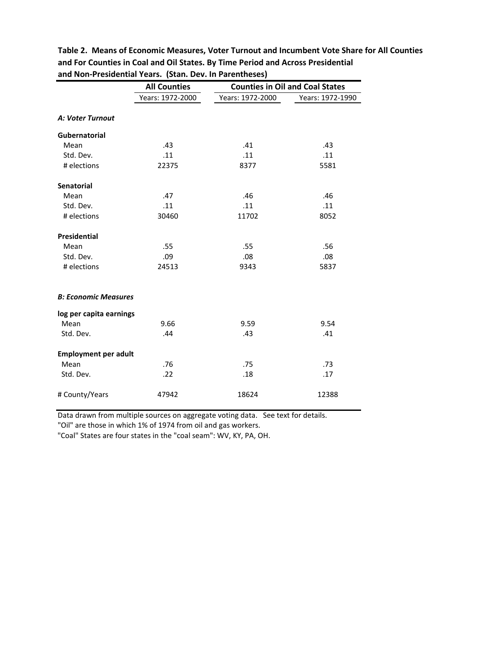|                             | <b>All Counties</b> | <b>Counties in Oil and Coal States</b> |                  |  |  |
|-----------------------------|---------------------|----------------------------------------|------------------|--|--|
|                             | Years: 1972-2000    | Years: 1972-2000                       | Years: 1972-1990 |  |  |
| A: Voter Turnout            |                     |                                        |                  |  |  |
| Gubernatorial               |                     |                                        |                  |  |  |
| Mean                        | .43                 | .41                                    | .43              |  |  |
| Std. Dev.                   | .11                 | .11                                    | .11              |  |  |
| # elections                 | 22375               | 8377                                   | 5581             |  |  |
| Senatorial                  |                     |                                        |                  |  |  |
| Mean                        | .47                 | .46                                    | .46              |  |  |
| Std. Dev.                   | .11                 | .11                                    | .11              |  |  |
| # elections                 | 30460               | 11702                                  | 8052             |  |  |
| <b>Presidential</b>         |                     |                                        |                  |  |  |
| Mean                        | .55                 | .55                                    | .56              |  |  |
| Std. Dev.                   | .09                 | .08                                    | .08              |  |  |
| # elections                 | 24513               | 9343                                   | 5837             |  |  |
| <b>B: Economic Measures</b> |                     |                                        |                  |  |  |
| log per capita earnings     |                     |                                        |                  |  |  |
| Mean                        | 9.66                | 9.59                                   | 9.54             |  |  |
| Std. Dev.                   | .44                 | .43                                    | .41              |  |  |
| <b>Employment per adult</b> |                     |                                        |                  |  |  |
| Mean                        | .76                 | .75                                    | .73              |  |  |
| Std. Dev.                   | .22                 | .18                                    | .17              |  |  |
| # County/Years              | 47942               | 18624                                  | 12388            |  |  |

**Table 2. Means of Economic Measures, Voter Turnout and Incumbent Vote Share for All Counties and For Counties in Coal and Oil States. By Time Period and Across Presidential and Non‐Presidential Years. (Stan. Dev. In Parentheses)**

Data drawn from multiple sources on aggregate voting data. See text for details.

"Oil" are those in which 1% of 1974 from oil and gas workers.

"Coal" States are four states in the "coal seam": WV, KY, PA, OH.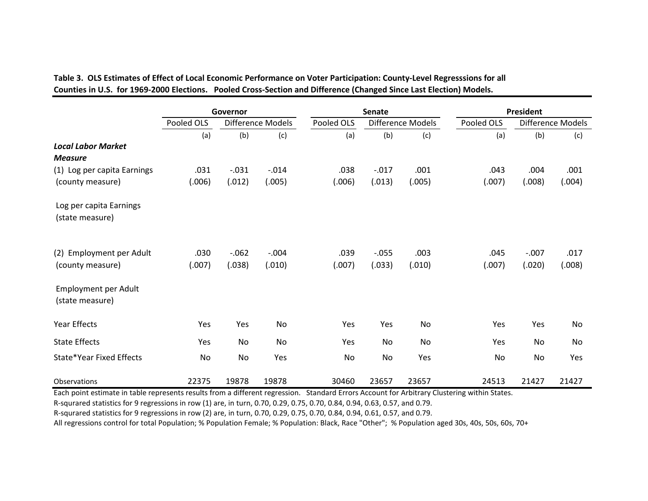Table 3.OLS Estimates of Effect of Local Economic Performance on Voter Participation: County-Level Regresssions for all Counties in U.S. for 1969-2000 Elections. Pooled Cross-Section and Difference (Changed Since Last Election) Models.

|                                              | Governor       |                   |                   |                | <b>Senate</b>      |                   | <b>President</b> |                   |                   |  |
|----------------------------------------------|----------------|-------------------|-------------------|----------------|--------------------|-------------------|------------------|-------------------|-------------------|--|
|                                              | Pooled OLS     |                   | Difference Models | Pooled OLS     |                    | Difference Models | Pooled OLS       |                   | Difference Models |  |
|                                              | (a)            | (b)               | (c)               | (a)            | (b)                | (c)               | (a)              | (b)               | (c)               |  |
| <b>Local Labor Market</b><br><b>Measure</b>  |                |                   |                   |                |                    |                   |                  |                   |                   |  |
| (1) Log per capita Earnings                  | .031           | $-.031$           | $-.014$           | .038           | $-.017$            | .001              | .043             | .004              | .001              |  |
| (county measure)                             | (.006)         | (.012)            | (.005)            | (.006)         | (.013)             | (.005)            | (.007)           | (.008)            | (.004)            |  |
| Log per capita Earnings<br>(state measure)   |                |                   |                   |                |                    |                   |                  |                   |                   |  |
| (2) Employment per Adult<br>(county measure) | .030<br>(.007) | $-.062$<br>(.038) | $-.004$<br>(.010) | .039<br>(.007) | $-0.055$<br>(.033) | .003<br>(.010)    | .045<br>(.007)   | $-.007$<br>(.020) | .017<br>(.008)    |  |
| Employment per Adult<br>(state measure)      |                |                   |                   |                |                    |                   |                  |                   |                   |  |
| Year Effects                                 | Yes            | Yes               | No                | Yes            | Yes                | No                | Yes              | Yes               | <b>No</b>         |  |
| <b>State Effects</b>                         | Yes            | No                | No                | Yes            | No                 | No                | Yes              | No                | No                |  |
| State*Year Fixed Effects                     | <b>No</b>      | <b>No</b>         | Yes               | <b>No</b>      | <b>No</b>          | Yes               | <b>No</b>        | <b>No</b>         | Yes               |  |
| Observations                                 | 22375          | 19878             | 19878             | 30460          | 23657              | 23657             | 24513            | 21427             | 21427             |  |

Each point estimate in table represents results from <sup>a</sup> different regression. Standard Errors Account for Arbitrary Clustering within States.

R‐squrared statistics for 9 regressions in row (1) are, in turn, 0.70, 0.29, 0.75, 0.70, 0.84, 0.94, 0.63, 0.57, and 0.79.

R‐squrared statistics for 9 regressions in row (2) are, in turn, 0.70, 0.29, 0.75, 0.70, 0.84, 0.94, 0.61, 0.57, and 0.79.

All regressions control for total Population; % Population Female; % Population: Black, Race "Other"; % Population aged 30s, 40s, 50s, 60s, 70+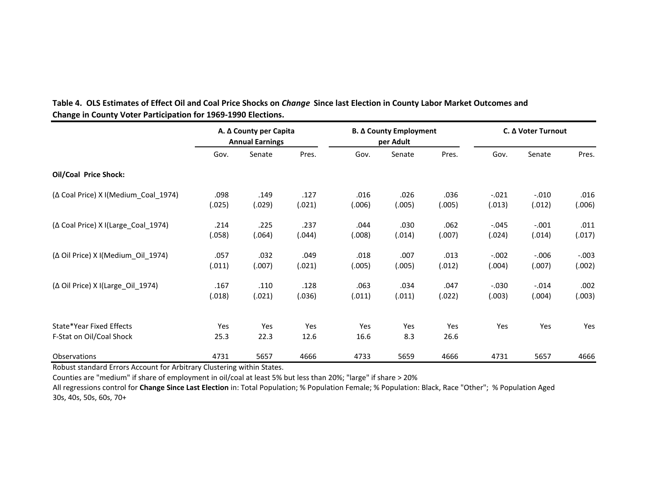|                                                      | A. Δ County per Capita<br><b>Annual Earnings</b> |                | <b>Β. Δ County Employment</b><br>per Adult |                |                | C. Δ Voter Turnout |                   |                    |                   |
|------------------------------------------------------|--------------------------------------------------|----------------|--------------------------------------------|----------------|----------------|--------------------|-------------------|--------------------|-------------------|
|                                                      | Gov.                                             | Senate         | Pres.                                      | Gov.           | Senate         | Pres.              | Gov.              | Senate             | Pres.             |
| <b>Oil/Coal Price Shock:</b>                         |                                                  |                |                                            |                |                |                    |                   |                    |                   |
| (Δ Coal Price) X I(Medium Coal 1974)                 | .098<br>(.025)                                   | .149<br>(.029) | .127<br>(.021)                             | .016<br>(.006) | .026<br>(.005) | .036<br>(.005)     | $-.021$<br>(.013) | $-.010$<br>(.012)  | .016<br>(.006)    |
| (Δ Coal Price) X I(Large_Coal_1974)                  | .214<br>(.058)                                   | .225<br>(.064) | .237<br>(.044)                             | .044<br>(.008) | .030<br>(.014) | .062<br>(.007)     | $-.045$<br>(.024) | $-.001$<br>(.014)  | .011<br>(.017)    |
| (Δ Oil Price) X I(Medium Oil 1974)                   | .057<br>(.011)                                   | .032<br>(.007) | .049<br>(.021)                             | .018<br>(.005) | .007<br>(.005) | .013<br>(.012)     | $-.002$<br>(.004) | $-0.006$<br>(.007) | $-.003$<br>(.002) |
| (∆ Oil Price) X I(Large Oil 1974)                    | .167<br>(.018)                                   | .110<br>(.021) | .128<br>(.036)                             | .063<br>(.011) | .034<br>(.011) | .047<br>(.022)     | $-.030$<br>(.003) | $-.014$<br>(.004)  | .002<br>(.003)    |
| State*Year Fixed Effects<br>F-Stat on Oil/Coal Shock | Yes<br>25.3                                      | Yes<br>22.3    | Yes<br>12.6                                | Yes<br>16.6    | Yes<br>8.3     | Yes<br>26.6        | Yes               | Yes                | Yes               |
| <b>Observations</b>                                  | 4731                                             | 5657           | 4666                                       | 4733           | 5659           | 4666               | 4731              | 5657               | 4666              |

## Table 4. OLS Estimates of Effect Oil and Coal Price Shocks on *Change S*ince last Election in County Labor Market Outcomes and **Change in County Voter Participation for 1969‐1990 Elections.**

Robust standard Errors Account for Arbitrary Clustering within States.

Counties are "medium" if share of employment in oil/coal at least 5% but less than 20%; "large" if share <sup>&</sup>gt; 20%

All regressions control for **Change Since Last Election** in: Total Population; % Population Female; % Population: Black, Race "Other"; % Population Aged 30s, 40s, 50s, 60s, 70+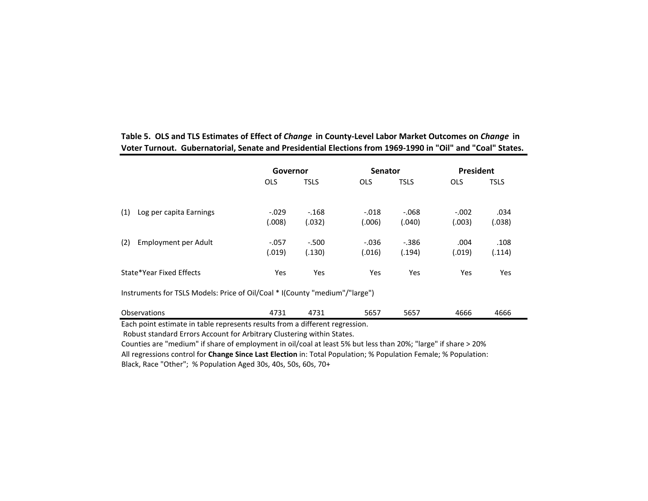|                                | Governor   |             | <b>Senator</b> |             | <b>President</b> |             |  |
|--------------------------------|------------|-------------|----------------|-------------|------------------|-------------|--|
|                                | <b>OLS</b> | <b>TSLS</b> | <b>OLS</b>     | <b>TSLS</b> | <b>OLS</b>       | <b>TSLS</b> |  |
|                                |            |             |                |             |                  |             |  |
| (1)<br>Log per capita Earnings | $-.029$    | $-168$      | $-.018$        | $-068$      | $-.002$          | .034        |  |
|                                | (.008)     | (.032)      | (.006)         | (.040)      | (.003)           | (.038)      |  |
| (2)<br>Employment per Adult    | $-.057$    | $-.500$     | $-0.036$       | $-386$      | .004             | .108        |  |
|                                | (.019)     | (.130)      | (.016)         | (.194)      | (.019)           | (.114)      |  |
|                                |            |             |                |             |                  |             |  |
| State*Year Fixed Effects       | Yes        | Yes         | Yes            | Yes         | Yes              | Yes         |  |
|                                |            |             |                |             |                  |             |  |

Table 5. OLS and TLS Estimates of Effect of *Change* in County-Level Labor Market Outcomes on *Change* in **Voter Turnout. Gubernatorial, Senate and Presidential Elections from 1969‐1990 in "Oil" and "Coal" States.**

Instruments for TSLS Models: Price of Oil/Coal \* I(County "medium"/"large")

| $\sim$<br>Observations<br>. | $-72.5$<br>⊥ر<br>______ | 1724<br>--<br>______ | $- - - -$<br>כסכ<br>- - - | ----<br>∠לסכ<br>___ | .<br>4666 | $- - - -$<br>4666 |
|-----------------------------|-------------------------|----------------------|---------------------------|---------------------|-----------|-------------------|
|-----------------------------|-------------------------|----------------------|---------------------------|---------------------|-----------|-------------------|

Each point estimate in table represents results from <sup>a</sup> different regression.

Robust standard Errors Account for Arbitrary Clustering within States.

Counties are "medium" if share of employment in oil/coal at least 5% but less than 20%; "large" if share <sup>&</sup>gt; 20% All regressions control for **Change Since Last Election** in: Total Population; % Population Female; % Population: Black, Race "Other"; % Population Aged 30s, 40s, 50s, 60s, 70+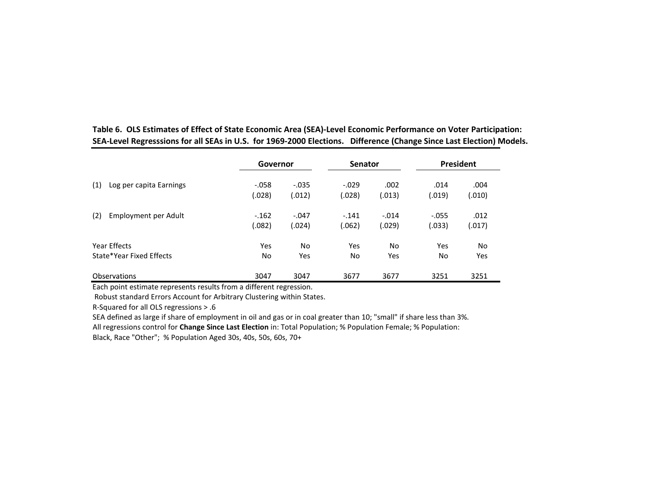|                          | Governor  |          | <b>Senator</b> |         | <b>President</b> |        |
|--------------------------|-----------|----------|----------------|---------|------------------|--------|
| (1)                      | $-.058$   | $-0.035$ | $-.029$        | .002    | .014             | .004   |
| Log per capita Earnings  | (.028)    | (.012)   | (.028)         | (.013)  | (.019)           | (.010) |
| (2)                      | $-162$    | $-.047$  | $-.141$        | $-.014$ | $-.055$          | .012   |
| Employment per Adult     | (.082)    | (.024)   | (.062)         | (.029)  | (.033)           | (.017) |
| Year Effects             | Yes       | No       | Yes            | No.     | <b>Yes</b>       | No.    |
| State*Year Fixed Effects | <b>No</b> | Yes      | No             | Yes     | No               | Yes    |
| <b>Observations</b>      | 3047      | 3047     | 3677           | 3677    | 3251             | 3251   |

Table 6. OLS Estimates of Effect of State Economic Area (SEA)-Level Economic Performance on Voter Participation: SEA-Level Regresssions for all SEAs in U.S. for 1969-2000 Elections. Difference (Change Since Last Election) Models.

Each point estimate represents results from <sup>a</sup> different regression.

Robust standard Errors Account for Arbitrary Clustering within States.

R‐Squared for all OLS regressions <sup>&</sup>gt; .6

SEA defined as large if share of employment in oil and gas or in coal greater than 10; "small" if share less than 3%.

All regressions control for **Change Since Last Election** in: Total Population; % Population Female; % Population:

Black, Race "Other"; % Population Aged 30s, 40s, 50s, 60s, 70+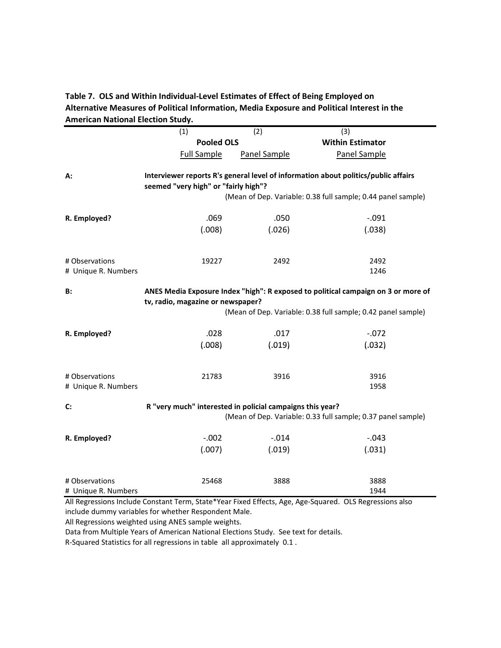## **Table 7. OLS and Within Individual‐Level Estimates of Effect of Being Employed on Alternative Measures of Political Information, Media Exposure and Political Interest in the American National Election Study.**

|                                       | (1)                                                       | (2)          | $\overline{3}$                                                                                                                                     |
|---------------------------------------|-----------------------------------------------------------|--------------|----------------------------------------------------------------------------------------------------------------------------------------------------|
|                                       | <b>Pooled OLS</b>                                         |              | <b>Within Estimator</b>                                                                                                                            |
|                                       | <b>Full Sample</b>                                        | Panel Sample | Panel Sample                                                                                                                                       |
| А:                                    | seemed "very high" or "fairly high"?                      |              | Interviewer reports R's general level of information about politics/public affairs<br>(Mean of Dep. Variable: 0.38 full sample; 0.44 panel sample) |
| R. Employed?                          | .069                                                      | .050         | $-.091$                                                                                                                                            |
|                                       | (.008)                                                    | (.026)       | (.038)                                                                                                                                             |
| # Observations<br># Unique R. Numbers | 19227                                                     | 2492         | 2492<br>1246                                                                                                                                       |
| B:                                    | tv, radio, magazine or newspaper?                         |              | ANES Media Exposure Index "high": R exposed to political campaign on 3 or more of<br>(Mean of Dep. Variable: 0.38 full sample; 0.42 panel sample)  |
| R. Employed?                          | .028                                                      | .017         | $-.072$                                                                                                                                            |
|                                       | (.008)                                                    | (.019)       | (.032)                                                                                                                                             |
| # Observations<br># Unique R. Numbers | 21783                                                     | 3916         | 3916<br>1958                                                                                                                                       |
| C:                                    | R "very much" interested in policial campaigns this year? |              | (Mean of Dep. Variable: 0.33 full sample; 0.37 panel sample)                                                                                       |
| R. Employed?                          | $-.002$                                                   | $-.014$      | $-.043$                                                                                                                                            |
|                                       | (.007)                                                    | (.019)       | (.031)                                                                                                                                             |
| # Observations<br># Unique R. Numbers | 25468                                                     | 3888         | 3888<br>1944<br>All Pegressians Include Constant Term State *Vear Eived Effects, Ago, Ago Squared, OLS Pegressians also                            |

All Regressions Include Constant Term, State\*Year Fixed Effects, Age, Age‐Squared. OLS Regressions also include dummy variables for whether Respondent Male.

All Regressions weighted using ANES sample weights.

Data from Multiple Years of American National Elections Study. See text for details.

R‐Squared Statistics for all regressions in table all approximately 0.1 .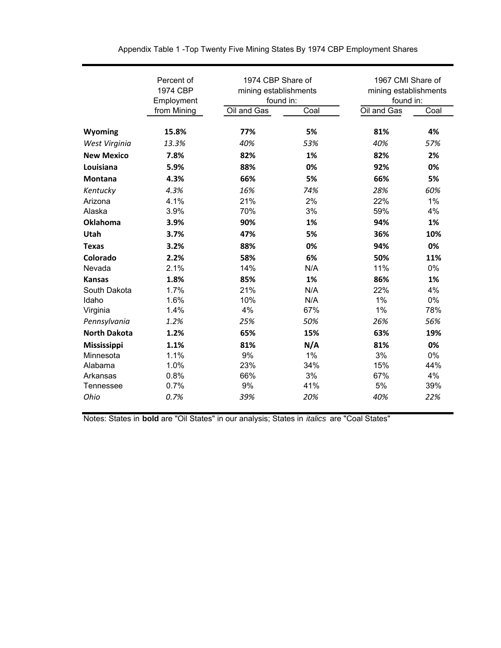| Percent of<br>1974 CBP<br>Employment |             | 1974 CBP Share of<br>mining establishments<br>found in: |      | 1967 CMI Share of<br>mining establishments<br>found in: |      |  |
|--------------------------------------|-------------|---------------------------------------------------------|------|---------------------------------------------------------|------|--|
|                                      | from Mining | Oil and Gas                                             | Coal | Oil and Gas                                             | Coal |  |
| Wyoming                              | 15.8%       | 77%                                                     | 5%   | 81%                                                     | 4%   |  |
| West Virginia                        | 13.3%       | 40%                                                     | 53%  | 40%                                                     | 57%  |  |
| <b>New Mexico</b>                    | 7.8%        | 82%                                                     | 1%   | 82%                                                     | 2%   |  |
| Louisiana                            | 5.9%        | 88%                                                     | 0%   | 92%                                                     | 0%   |  |
| Montana                              | 4.3%        | 66%                                                     | 5%   | 66%                                                     | 5%   |  |
| Kentucky                             | 4.3%        | 16%                                                     | 74%  | 28%                                                     | 60%  |  |
| Arizona                              | 4.1%        | 21%                                                     | 2%   | 22%                                                     | 1%   |  |
| Alaska                               | 3.9%        | 70%                                                     | 3%   | 59%                                                     | 4%   |  |
| Oklahoma                             | 3.9%        | 90%                                                     | 1%   | 94%                                                     | 1%   |  |
| Utah                                 | 3.7%        | 47%                                                     | 5%   | 36%                                                     | 10%  |  |
| <b>Texas</b>                         | 3.2%        | 88%                                                     | 0%   | 94%                                                     | 0%   |  |
| Colorado                             | 2.2%        | 58%                                                     | 6%   | 50%                                                     | 11%  |  |
| Nevada                               | 2.1%        | 14%                                                     | N/A  | 11%                                                     | 0%   |  |
| <b>Kansas</b>                        | 1.8%        | 85%                                                     | 1%   | 86%                                                     | 1%   |  |
| South Dakota                         | 1.7%        | 21%                                                     | N/A  | 22%                                                     | 4%   |  |
| Idaho                                | 1.6%        | 10%                                                     | N/A  | 1%                                                      | 0%   |  |
| Virginia                             | 1.4%        | 4%                                                      | 67%  | 1%                                                      | 78%  |  |
| Pennsylvania                         | 1.2%        | 25%                                                     | 50%  | 26%                                                     | 56%  |  |
| <b>North Dakota</b>                  | 1.2%        | 65%                                                     | 15%  | 63%                                                     | 19%  |  |
| Mississippi                          | 1.1%        | 81%                                                     | N/A  | 81%                                                     | 0%   |  |
| Minnesota                            | 1.1%        | 9%                                                      | 1%   | 3%                                                      | 0%   |  |
| Alabama                              | 1.0%        | 23%                                                     | 34%  | 15%                                                     | 44%  |  |
| Arkansas                             | 0.8%        | 66%                                                     | 3%   | 67%                                                     | 4%   |  |
| Tennessee                            | 0.7%        | 9%                                                      | 41%  | 5%                                                      | 39%  |  |
| Ohio                                 | 0.7%        | 39%                                                     | 20%  | 40%                                                     | 22%  |  |

Appendix Table 1 -Top Twenty Five Mining States By 1974 CBP Employment Shares

Notes: States in **bold** are "Oil States" in our analysis; States in *italics* are "Coal States"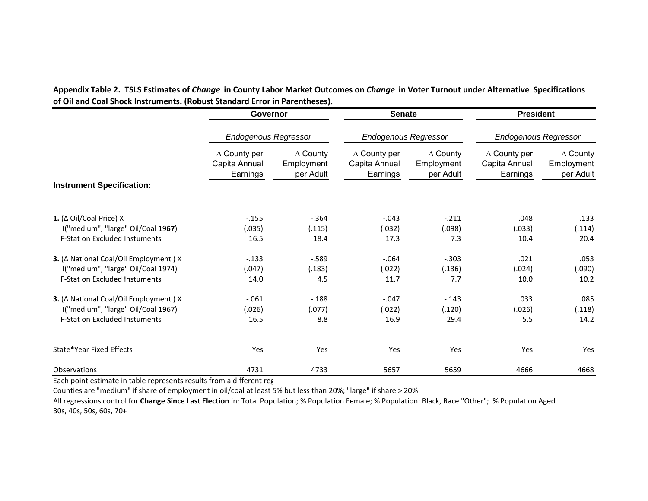|                                                                            | Governor<br><b>Endogenous Regressor</b>          |                                            | <b>Senate</b>                                    |                                            | <b>President</b>                                 |                                            |
|----------------------------------------------------------------------------|--------------------------------------------------|--------------------------------------------|--------------------------------------------------|--------------------------------------------|--------------------------------------------------|--------------------------------------------|
|                                                                            |                                                  |                                            | <b>Endogenous Regressor</b>                      |                                            | <b>Endogenous Regressor</b>                      |                                            |
| <b>Instrument Specification:</b>                                           | $\Delta$ County per<br>Capita Annual<br>Earnings | $\Delta$ County<br>Employment<br>per Adult | $\Delta$ County per<br>Capita Annual<br>Earnings | $\Delta$ County<br>Employment<br>per Adult | $\Delta$ County per<br>Capita Annual<br>Earnings | $\Delta$ County<br>Employment<br>per Adult |
|                                                                            |                                                  |                                            |                                                  |                                            |                                                  |                                            |
| 1. ( $\Delta$ Oil/Coal Price) X                                            | $-155$                                           | $-364$                                     | $-.043$                                          | $-.211$                                    | .048                                             | .133                                       |
| I("medium", "large" Oil/Coal 1967)<br><b>F-Stat on Excluded Instuments</b> | (.035)<br>16.5                                   | (.115)<br>18.4                             | (.032)<br>17.3                                   | (.098)<br>7.3                              | (.033)<br>10.4                                   | (.114)<br>20.4                             |
| 3. ( $\Delta$ National Coal/Oil Employment ) X                             | $-.133$                                          | $-589$                                     | $-.064$                                          | $-.303$                                    | .021                                             | .053                                       |
| I("medium", "large" Oil/Coal 1974)                                         | (.047)                                           | (.183)                                     | (.022)                                           | (.136)                                     | (.024)                                           | (.090)                                     |
| <b>F-Stat on Excluded Instuments</b>                                       | 14.0                                             | 4.5                                        | 11.7                                             | 7.7                                        | 10.0                                             | 10.2                                       |
| 3. ( $\Delta$ National Coal/Oil Employment ) X                             | $-.061$                                          | $-188$                                     | $-.047$                                          | $-.143$                                    | .033                                             | .085                                       |
| I("medium", "large" Oil/Coal 1967)                                         | (.026)                                           | (.077)                                     | (.022)                                           | (.120)                                     | (.026)                                           | (.118)                                     |
| <b>F-Stat on Excluded Instuments</b>                                       | 16.5                                             | 8.8                                        | 16.9                                             | 29.4                                       | 5.5                                              | 14.2                                       |
| State*Year Fixed Effects                                                   | Yes                                              | Yes                                        | Yes                                              | Yes                                        | Yes                                              | Yes                                        |
| Observations                                                               | 4731                                             | 4733                                       | 5657                                             | 5659                                       | 4666                                             | 4668                                       |

Appendix Table 2. TSLS Estimates of Change in County Labor Market Outcomes on Change in Voter Turnout under Alternative Specifications **of Oil and Coal Shock Instruments. (Robust Standard Error in Parentheses).**

Each point estimate in table represents results from <sup>a</sup> different reg

Counties are "medium" if share of employment in oil/coal at least 5% but less than 20%; "large" if share <sup>&</sup>gt; 20%

All regressions control for **Change Since Last Election** in: Total Population; % Population Female; % Population: Black, Race "Other"; % Population Aged 30s, 40s, 50s, 60s, 70+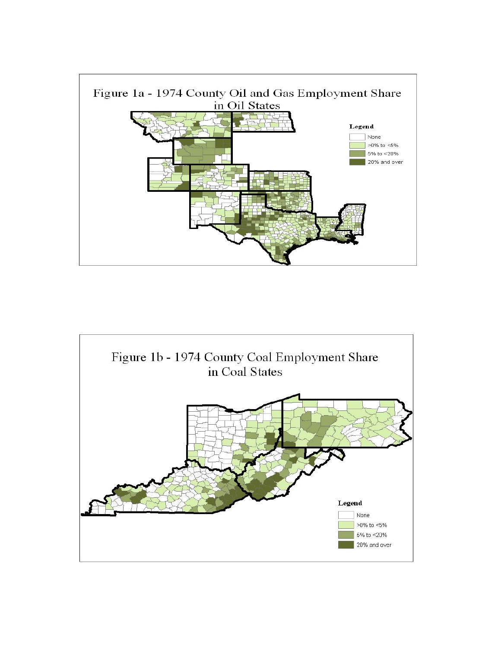

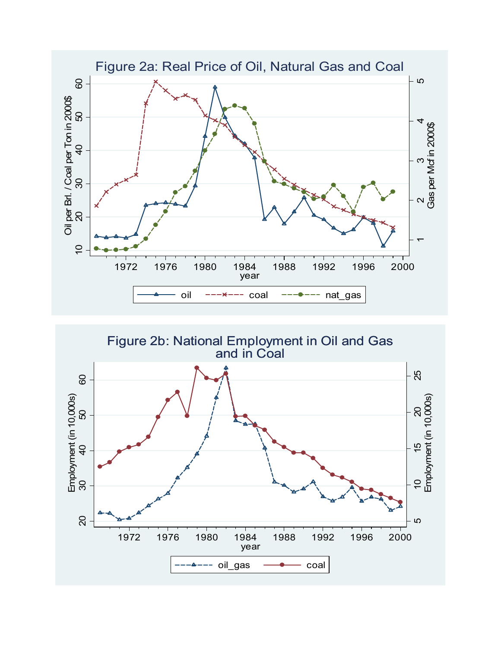

Figure 2b: National Employment in Oil and Gas and in Coal and in

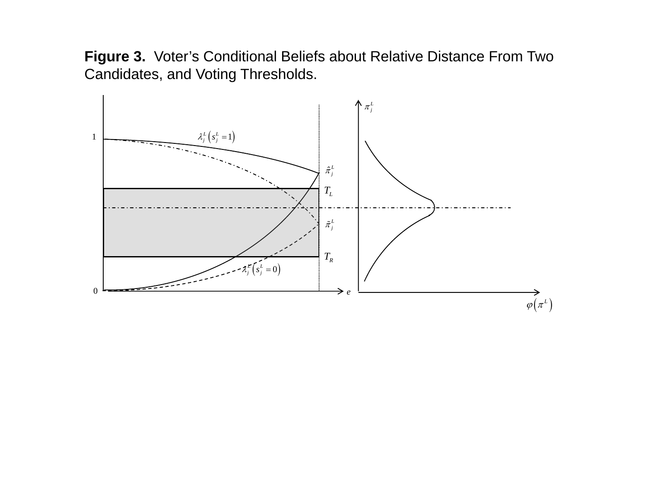**Figure 3.** Voter's Conditional Beliefs about Relative Distance From Two Candidates, and Voting Thresholds.

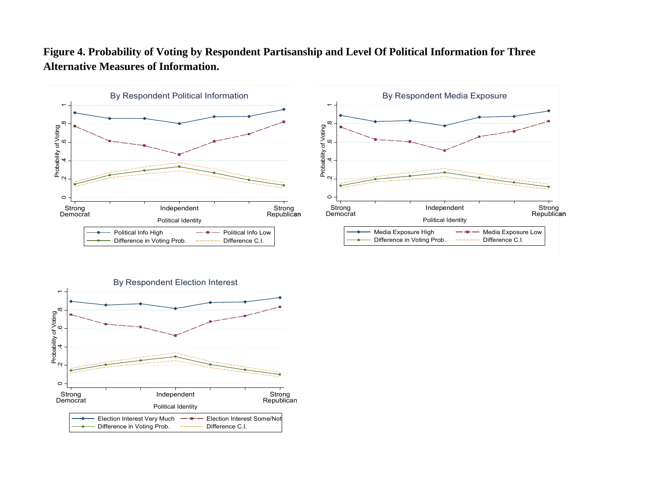

## **Figure 4. Probability of Voting by Respondent Partisanship and Level Of Political Information for Three Alternative Measures of Information.**